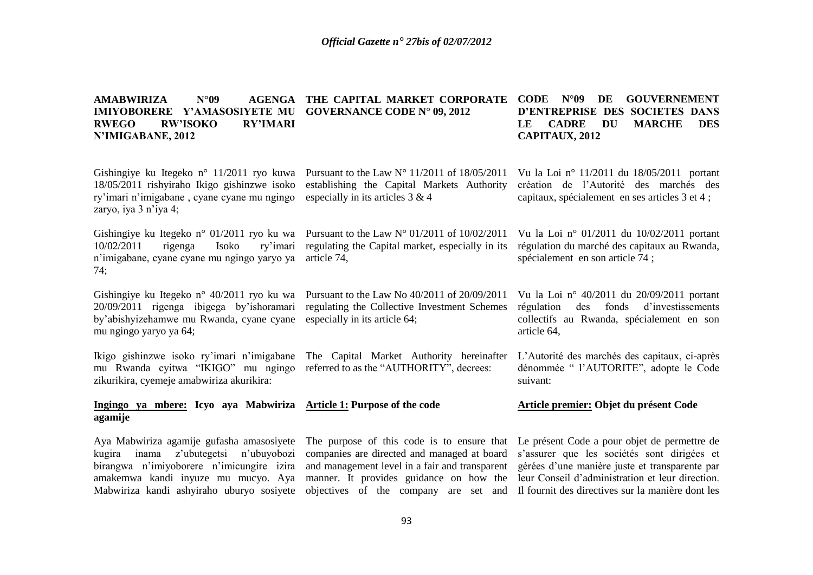#### **AMABWIRIZA N°09 IMIYOBORERE Y'AMASOSIYETE MU GOVERNANCE CODE N**° **09, 2012 RWEGO RW'ISOKO RY'IMARI N'IMIGABANE, 2012 THE CAPITAL MARKET CORPORATE CODE N**°**09 DE GOUVERNEMENT D'ENTREPRISE DES SOCIETES DANS LE CADRE DU MARCHE DES CAPITAUX, 2012**

Gishingiye ku Itegeko n° 11/2011 ryo kuwa Pursuant to the Law N° 11/2011 of 18/05/2011 Vu la Loi n° 11/2011 du 18/05/2011 portant 18/05/2011 rishyiraho Ikigo gishinzwe isoko establishing the Capital Markets Authority création de l"Autorité des marchés des ry'imari n'imigabane, cyane cyane mu ngingo especially in its articles  $3 & 4$ zaryo, iya 3 n'iya 4; Gishingiye ku Itegeko n° 01/2011 ryo ku wa Pursuant to the Law N° 01/2011 of 10/02/2011  $10/02/2011$  rigenga Isoko n"imigabane, cyane cyane mu ngingo yaryo ya article 74, 74; Gishingiye ku Itegeko n° 40/2011 ryo ku wa Pursuant to the Law No 40/2011 of 20/09/2011 Vu la Loi n° 40/2011 du 20/09/2011 portant 20/09/2011 rigenga ibigega by"ishoramari regulating the Collective Investment Schemes by"abishyizehamwe mu Rwanda, cyane cyane especially in its article 64; mu ngingo yaryo ya 64; Ikigo gishinzwe isoko ry"imari n"imigabane The Capital Market Authority hereinafter mu Rwanda cyitwa "IKIGO" mu ngingo referred to as the "AUTHORITY", decrees: zikurikira, cyemeje amabwiriza akurikira: **Ingingo ya mbere: Icyo aya Mabwiriza Article 1: Purpose of the code agamije** Aya Mabwiriza agamije gufasha amasosiyete The purpose of this code is to ensure that Le présent Code a pour objet de permettre de kugira inama z'ubutegetsi n'ubuyobozi companies are directed and managed at board s'assurer que les sociétés sont dirigées et birangwa n'imiyoborere n'imicungire izira and management level in a fair and transparent gérées d'une manière juste et transparente par amakemwa kandi inyuze mu mucyo. Aya manner. It provides guidance on how the leur Conseil d'administration et leur direction. ry' imari regulating the Capital market, especially in its capitaux, spécialement en ses articles 3 et 4 ; Vu la Loi n° 01/2011 du 10/02/2011 portant régulation du marché des capitaux au Rwanda, spécialement en son article 74 ; régulation des fonds d"investissements collectifs au Rwanda, spécialement en son article 64, L"Autorité des marchés des capitaux, ci-après dénommée " l"AUTORITE", adopte le Code suivant: **Article premier: Objet du présent Code**

Mabwiriza kandi ashyiraho uburyo sosiyete objectives of the company are set and Il fournit des directives sur la manière dont les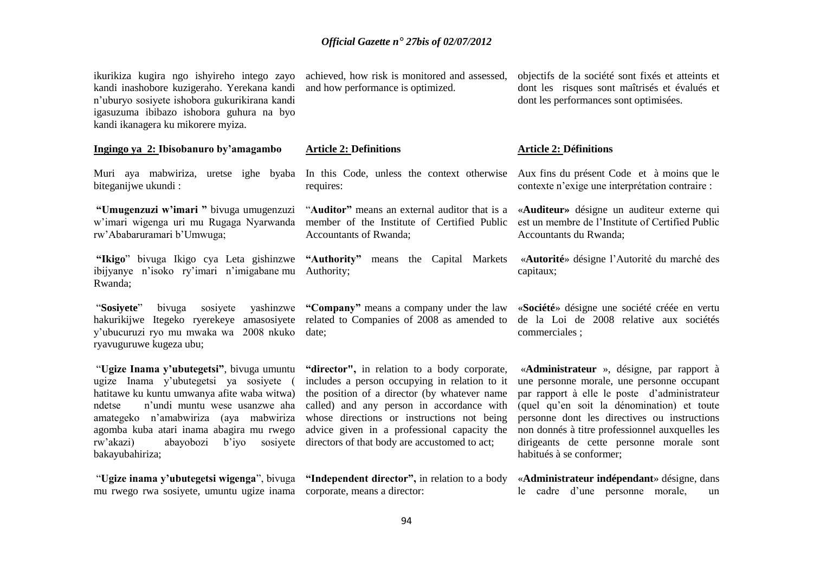ikurikiza kugira ngo ishyireho intego zayo kandi inashobore kuzigeraho. Yerekana kandi n"uburyo sosiyete ishobora gukurikirana kandi igasuzuma ibibazo ishobora guhura na byo kandi ikanagera ku mikorere myiza.

#### **Ingingo ya 2: Ibisobanuro by'amagambo**

Muri aya mabwiriza, uretse ighe byaba In this Code, unless the context otherwise Aux fins du présent Code et à moins que le biteganijwe ukundi :

**"Umugenzuzi w'imari "** bivuga umugenzuzi rw"Ababaruramari b"Umwuga;

ibijyanye n"isoko ry"imari n"imigabane mu Authority; Rwanda;

"**Sosiyete**" bivuga sosiyete yashinzwe **"Company"** means a company under the law hakurikijwe Itegeko ryerekeye amasosiyete related to Companies of 2008 as amended to y"ubucuruzi ryo mu mwaka wa 2008 nkuko date; ryavuguruwe kugeza ubu;

"**Ugize Inama y'ubutegetsi"**, bivuga umuntu ugize Inama y"ubutegetsi ya sosiyete ( hatitawe ku kuntu umwanya afite waba witwa) ndetse n"undi muntu wese usanzwe aha called) and any person in accordance with amategeko n"amabwiriza (aya mabwiriza agomba kuba atari inama abagira mu rwego rw'akazi) abayobozi b'iyo sosiyete directors of that body are accustomed to act; bakayubahiriza;

mu rwego rwa sosiyete, umuntu ugize inama corporate, means a director:

achieved, how risk is monitored and assessed, and how performance is optimized.

#### **Article 2: Definitions**

requires:

w'imari wigenga uri mu Rugaga Nyarwanda member of the Institute of Certified Public est un membre de l'Institute of Certified Public "**Auditor"** means an external auditor that is a Accountants of Rwanda;

**"Ikigo**" bivuga Ikigo cya Leta gishinzwe **"Authority"** means the Capital Markets

**"director",** in relation to a body corporate, includes a person occupying in relation to it the position of a director (by whatever name whose directions or instructions not being advice given in a professional capacity the

"**Ugize inama y'ubutegetsi wigenga**", bivuga **"Independent director",** in relation to a body

objectifs de la société sont fixés et atteints et dont les risques sont maîtrisés et évalués et dont les performances sont optimisées.

#### **Article 2: Définitions**

contexte n"exige une interprétation contraire :

«**Auditeur»** désigne un auditeur externe qui Accountants du Rwanda;

«**Autorité**» désigne l"Autorité du marché des capitaux;

«**Société**» désigne une société créée en vertu de la Loi de 2008 relative aux sociétés commerciales ;

«**Administrateur** », désigne, par rapport à une personne morale, une personne occupant par rapport à elle le poste d"administrateur (quel qu"en soit la dénomination) et toute personne dont les directives ou instructions non donnés à titre professionnel auxquelles les dirigeants de cette personne morale sont habitués à se conformer;

«**Administrateur indépendant**» désigne, dans le cadre d"une personne morale, un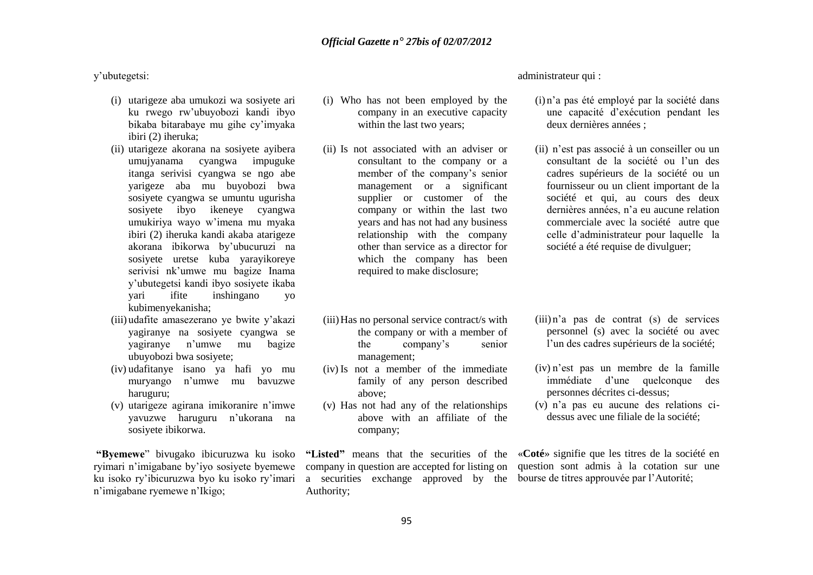# y"ubutegetsi:

- (i) utarigeze aba umukozi wa sosiyete ari ku rwego rw"ubuyobozi kandi ibyo bikaba bitarabaye mu gihe cy"imyaka ibiri (2) iheruka;
- (ii) utarigeze akorana na sosiyete ayibera umujyanama cyangwa impuguke itanga serivisi cyangwa se ngo abe yarigeze aba mu buyobozi bwa sosiyete cyangwa se umuntu ugurisha sosiyete ibyo ikeneye cyangwa umukiriya wayo w"imena mu myaka ibiri (2) iheruka kandi akaba atarigeze akorana ibikorwa by"ubucuruzi na sosiyete uretse kuba yarayikoreye serivisi nk"umwe mu bagize Inama y"ubutegetsi kandi ibyo sosiyete ikaba yari ifite inshingano yo kubimenyekanisha;
- (iii) udafite amasezerano ye bwite y"akazi yagiranye na sosiyete cyangwa se yagiranye n"umwe mu bagize ubuyobozi bwa sosiyete;
- (iv) udafitanye isano ya hafi yo mu muryango n"umwe mu bavuzwe haruguru;
- (v) utarigeze agirana imikoranire n"imwe yavuzwe haruguru n"ukorana na sosiyete ibikorwa.

**"Byemewe**" bivugako ibicuruzwa ku isoko ryimari n'imigabane by'iyo sosiyete byemewe ku isoko ry"ibicuruzwa byo ku isoko ry"imari n"imigabane ryemewe n"Ikigo;

- (i) Who has not been employed by the company in an executive capacity within the last two years;
- (ii) Is not associated with an adviser or consultant to the company or a member of the company's senior management or a significant supplier or customer of the company or within the last two years and has not had any business relationship with the company other than service as a director for which the company has been required to make disclosure;
- (iii)Has no personal service contract/s with the company or with a member of the company"s senior management;
- (iv) Is not a member of the immediate family of any person described above;
- (v) Has not had any of the relationships above with an affiliate of the company;

company in question are accepted for listing on a securities exchange approved by the Authority;

#### administrateur qui :

- (i) n"a pas été employé par la société dans une capacité d"exécution pendant les deux dernières années ;
- (ii) n"est pas associé à un conseiller ou un consultant de la société ou l"un des cadres supérieurs de la société ou un fournisseur ou un client important de la société et qui, au cours des deux dernières années, n"a eu aucune relation commerciale avec la société autre que celle d"administrateur pour laquelle la société a été requise de divulguer;

- (iii) n"a pas de contrat (s) de services personnel (s) avec la société ou avec l"un des cadres supérieurs de la société;
- (iv) n"est pas un membre de la famille immédiate d"une quelconque des personnes décrites ci-dessus;
- (v) n"a pas eu aucune des relations cidessus avec une filiale de la société;

**"Listed"** means that the securities of the «**Coté**» signifie que les titres de la société en question sont admis à la cotation sur une bourse de titres approuvée par l"Autorité;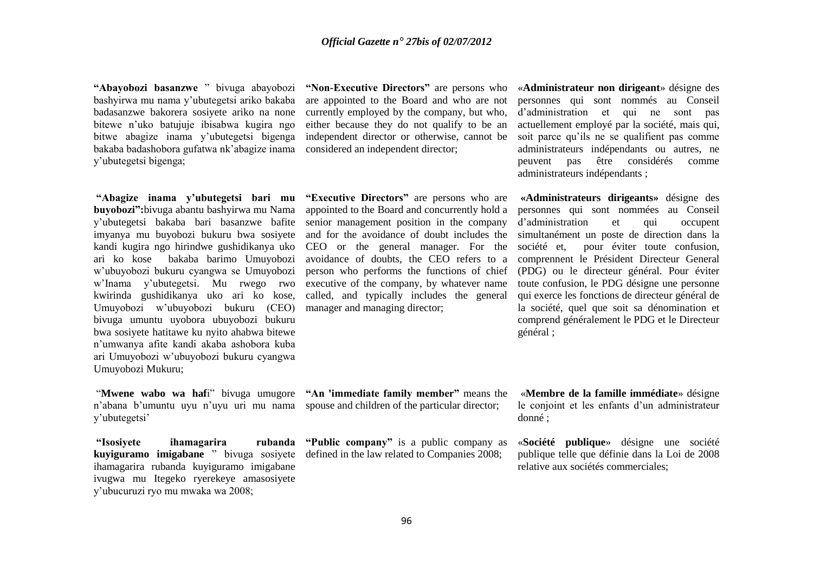**"Abayobozi basanzwe** " bivuga abayobozi bashyirwa mu nama y"ubutegetsi ariko bakaba badasanzwe bakorera sosiyete ariko na none bitewe n"uko batujuje ibisabwa kugira ngo bitwe abagize inama y"ubutegetsi bigenga bakaba badashobora gufatwa nk"abagize inama y"ubutegetsi bigenga;

**"Abagize inama y'ubutegetsi bari mu buyobozi":**bivuga abantu bashyirwa mu Nama y"ubutegetsi bakaba bari basanzwe bafite imyanya mu buyobozi bukuru bwa sosiyete kandi kugira ngo hirindwe gushidikanya uko ari ko kose bakaba barimo Umuyobozi w"ubuyobozi bukuru cyangwa se Umuyobozi w"Inama y"ubutegetsi. Mu rwego rwo kwirinda gushidikanya uko ari ko kose, Umuyobozi w"ubuyobozi bukuru (CEO) bivuga umuntu uyobora ubuyobozi bukuru bwa sosiyete hatitawe ku nyito ahabwa bitewe n"umwanya afite kandi akaba ashobora kuba ari Umuyobozi w"ubuyobozi bukuru cyangwa Umuyobozi Mukuru;

"**Mwene wabo wa haf**i" bivuga umugore **"An 'immediate family member"** means the n'abana b'umuntu uyu n'uyu uri mu nama spouse and children of the particular director; y"ubutegetsi"

**"Isosiyete ihamagarira rubanda kuyiguramo imigabane** " bivuga sosiyete defined in the law related to Companies 2008; ihamagarira rubanda kuyiguramo imigabane ivugwa mu Itegeko ryerekeye amasosiyete y"ubucuruzi ryo mu mwaka wa 2008;

**"Non-Executive Directors"** are persons who are appointed to the Board and who are not currently employed by the company, but who, either because they do not qualify to be an independent director or otherwise, cannot be considered an independent director;

**"Executive Directors"** are persons who are appointed to the Board and concurrently hold a senior management position in the company and for the avoidance of doubt includes the CEO or the general manager. For the avoidance of doubts, the CEO refers to a person who performs the functions of chief executive of the company, by whatever name called, and typically includes the general manager and managing director;

**rubanda** "Public company" is a public company as

«**Administrateur non dirigeant**» désigne des personnes qui sont nommés au Conseil d"administration et qui ne sont pas actuellement employé par la société, mais qui, soit parce qu'ils ne se qualifient pas comme administrateurs indépendants ou autres, ne peuvent pas être considérés comme administrateurs indépendants ;

**«Administrateurs dirigeants»** désigne des personnes qui sont nommées au Conseil d"administration et qui occupent simultanément un poste de direction dans la société et, pour éviter toute confusion, comprennent le Président Directeur General (PDG) ou le directeur général. Pour éviter toute confusion, le PDG désigne une personne qui exerce les fonctions de directeur général de la société, quel que soit sa dénomination et comprend généralement le PDG et le Directeur général ;

«**Membre de la famille immédiate**» désigne le conjoint et les enfants d"un administrateur donné ;

«**Société publique**» désigne une société publique telle que définie dans la Loi de 2008 relative aux sociétés commerciales;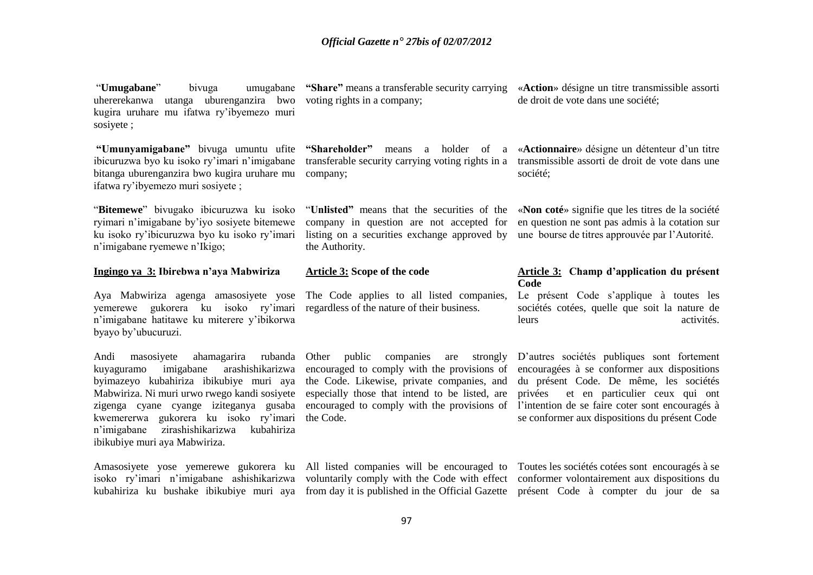"**Umugabane**" biyuga uhererekanwa utanga uburenganzira bwo voting rights in a company; kugira uruhare mu ifatwa ry"ibyemezo muri sosiyete ;

**"Umunyamigabane"** bivuga umuntu ufite bitanga uburenganzira bwo kugira uruhare mu company; ifatwa ry"ibyemezo muri sosiyete ;

"**Bitemewe**" bivugako ibicuruzwa ku isoko ryimari n"imigabane by"iyo sosiyete bitemewe ku isoko ry"ibicuruzwa byo ku isoko ry"imari n"imigabane ryemewe n"Ikigo;

#### **Ingingo ya 3: Ibirebwa n'aya Mabwiriza**

yemerewe gukorera ku isoko ry"imari regardless of the nature of their business. n"imigabane hatitawe ku miterere y"ibikorwa byayo by"ubucuruzi.

Andi masosiyete ahamagarira rubanda Other public companies are strongly D'autres sociétés publiques sont fortement kuyaguramo imigabane arashishikarizwa encouraged to comply with the provisions of encouragées à se conformer aux dispositions byimazeyo kubahiriza ibikubiye muri aya the Code. Likewise, private companies, and du présent Code. De même, les sociétés Mabwiriza. Ni muri urwo rwego kandi sosiyete especially those that intend to be listed, are zigenga cyane cyange iziteganya gusaba encouraged to comply with the provisions of l'intention de se faire coter sont encouragés à kwemererwa gukorera ku isoko ry"imari the Code. n"imigabane zirashishikarizwa kubahiriza ibikubiye muri aya Mabwiriza.

ibicuruzwa byo ku isoko ry'imari n'imigabane transferable security carrying voting rights in a transmissible assorti de droit de vote dans une

"**Unlisted"** means that the securities of the «**Non coté**» signifie que les titres de la société company in question are not accepted for en question ne sont pas admis à la cotation sur listing on a securities exchange approved by une bourse de titres approuvée par l"Autorité. the Authority.

#### **Article 3: Scope of the code**

Aya Mabwiriza agenga amasosiyete yose The Code applies to all listed companies,

isoko ry'imari n'imigabane ashishikarizwa voluntarily comply with the Code with effect conformer volontairement aux dispositions du

**"Share"** means a transferable security carrying «**Action**» désigne un titre transmissible assorti de droit de vote dans une société;

**"Shareholder"** means a holder of a «**Actionnaire**» désigne un détenteur d"un titre société;

#### **Article 3: Champ d'application du présent Code**

Le présent Code s"applique à toutes les sociétés cotées, quelle que soit la nature de leurs activités.

privées et en particulier ceux qui ont se conformer aux dispositions du présent Code

Amasosiyete yose yemerewe gukorera ku All listed companies will be encouraged to Toutes les sociétés cotées sont encouragés à se kubahiriza ku bushake ibikubiye muri aya from day it is published in the Official Gazette présent Code à compter du jour de sa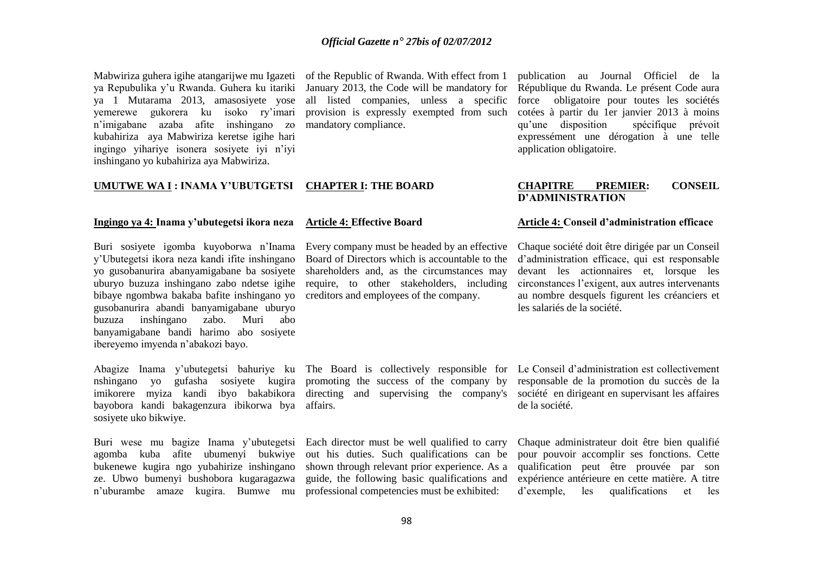Mabwiriza guhera igihe atangarijwe mu Igazeti of the Republic of Rwanda. With effect from 1 ya Repubulika y"u Rwanda. Guhera ku itariki ya 1 Mutarama 2013, amasosiyete yose yemerewe gukorera ku isoko ry"imari n"imigabane azaba afite inshingano zo kubahiriza aya Mabwiriza keretse igihe hari ingingo yihariye isonera sosiyete iyi n"iyi inshingano yo kubahiriza aya Mabwiriza.

#### **UMUTWE WA I : INAMA Y'UBUTGETSI CHAPTER I: THE BOARD**

#### **Ingingo ya 4: Inama y'ubutegetsi ikora neza Article 4: Effective Board**

Buri sosiyete igomba kuyoborwa n"Inama y"Ubutegetsi ikora neza kandi ifite inshingano yo gusobanurira abanyamigabane ba sosiyete uburyo buzuza inshingano zabo ndetse igihe bibaye ngombwa bakaba bafite inshingano yo creditors and employees of the company. gusobanurira abandi banyamigabane uburyo buzuza inshingano zabo. Muri abo banyamigabane bandi harimo abo sosiyete ibereyemo imyenda n"abakozi bayo.

nshingano yo gufasha sosiyete kugira promoting the success of the company by imikorere myiza kandi ibyo bakabikora directing and supervising the company's société en dirigeant en supervisant les affaires bayobora kandi bakagenzura ibikorwa bya affairs. sosiyete uko bikwiye.

Buri wese mu bagize Inama y'ubutegetsi Each director must be well qualified to carry agomba kuba afite ubumenyi bukwiye bukenewe kugira ngo yubahirize inshingano ze. Ubwo bumenyi bushobora kugaragazwa n"uburambe amaze kugira. Bumwe mu professional competencies must be exhibited:

January 2013, the Code will be mandatory for all listed companies, unless a specific provision is expressly exempted from such mandatory compliance.

Every company must be headed by an effective Board of Directors which is accountable to the shareholders and, as the circumstances may require, to other stakeholders, including

publication au Journal Officiel de la République du Rwanda. Le présent Code aura force obligatoire pour toutes les sociétés cotées à partir du 1er janvier 2013 à moins qu"une disposition spécifique prévoit expressément une dérogation à une telle application obligatoire.

#### **CHAPITRE PREMIER: CONSEIL D'ADMINISTRATION**

#### **Article 4: Conseil d'administration efficace**

Chaque société doit être dirigée par un Conseil d"administration efficace, qui est responsable devant les actionnaires et, lorsque les circonstances l"exigent, aux autres intervenants au nombre desquels figurent les créanciers et les salariés de la société.

out his duties. Such qualifications can be shown through relevant prior experience. As a guide, the following basic qualifications and

Abagize Inama y'ubutegetsi bahuriye ku The Board is collectively responsible for Le Conseil d'administration est collectivement responsable de la promotion du succès de la de la société.

> Chaque administrateur doit être bien qualifié pour pouvoir accomplir ses fonctions. Cette qualification peut être prouvée par son expérience antérieure en cette matière. A titre d"exemple, les qualifications et les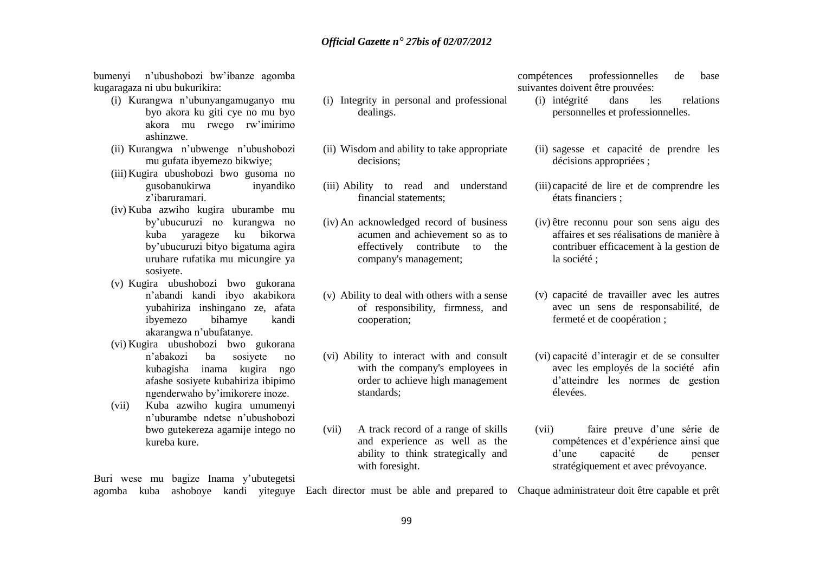bumenyi n"ubushobozi bw"ibanze agomba kugaragaza ni ubu bukurikira:

- (i) Kurangwa n"ubunyangamuganyo mu byo akora ku giti cye no mu byo akora mu rwego rw"imirimo ashinzwe.
- (ii) Kurangwa n"ubwenge n"ubushobozi mu gufata ibyemezo bikwiye;
- (iii)Kugira ubushobozi bwo gusoma no gusobanukirwa inyandiko z"ibaruramari.
- (iv) Kuba azwiho kugira uburambe mu by"ubucuruzi no kurangwa no kuba yarageze ku bikorwa by"ubucuruzi bityo bigatuma agira uruhare rufatika mu micungire ya sosiyete.
- (v) Kugira ubushobozi bwo gukorana n"abandi kandi ibyo akabikora yubahiriza inshingano ze, afata ibyemezo bihamye kandi akarangwa n"ubufatanye.
- (vi) Kugira ubushobozi bwo gukorana n"abakozi ba sosiyete no kubagisha inama kugira ngo afashe sosiyete kubahiriza ibipimo ngenderwaho by"imikorere inoze.
- (vii) Kuba azwiho kugira umumenyi n"uburambe ndetse n"ubushobozi bwo gutekereza agamije intego no kureba kure.

Buri wese mu bagize Inama y"ubutegetsi

(i) Integrity in personal and professional dealings.

- (ii) Wisdom and ability to take appropriate decisions;
- (iii) Ability to read and understand financial statements;
- (iv) An acknowledged record of business acumen and achievement so as to effectively contribute to the company's management;
- (v) Ability to deal with others with a sense of responsibility, firmness, and cooperation;
- (vi) Ability to interact with and consult with the company's employees in order to achieve high management standards;
- (vii) A track record of a range of skills and experience as well as the ability to think strategically and with foresight.

compétences professionnelles de base suivantes doivent être prouvées:

- (i) intégrité dans les relations personnelles et professionnelles.
- (ii) sagesse et capacité de prendre les décisions appropriées ;
- (iii) capacité de lire et de comprendre les états financiers ;
- (iv) être reconnu pour son sens aigu des affaires et ses réalisations de manière à contribuer efficacement à la gestion de la société ;
- (v) capacité de travailler avec les autres avec un sens de responsabilité, de fermeté et de coopération ;
- (vi) capacité d"interagir et de se consulter avec les employés de la société afin d"atteindre les normes de gestion élevées.
- (vii) faire preuve d"une série de compétences et d"expérience ainsi que d"une capacité de penser stratégiquement et avec prévoyance.

agomba kuba ashoboye kandi yiteguye Each director must be able and prepared to Chaque administrateur doit être capable et prêt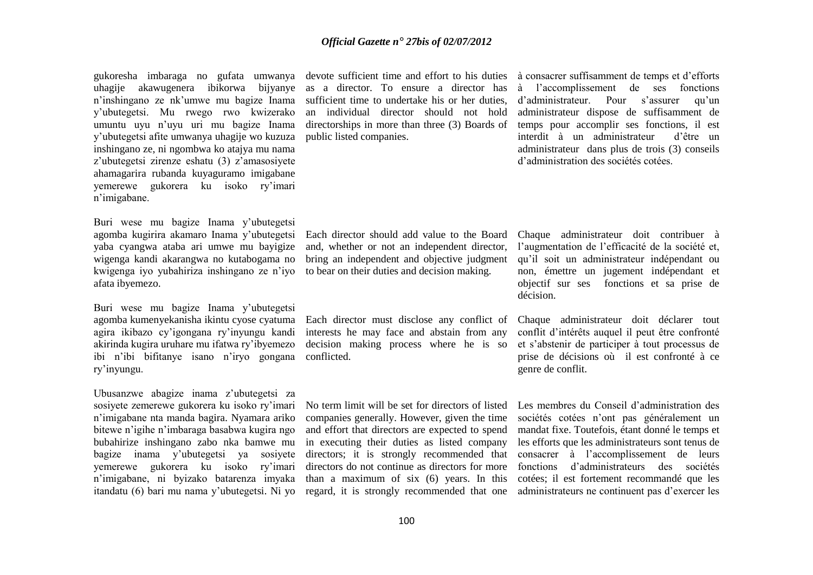gukoresha imbaraga no gufata umwanya uhagije akawugenera ibikorwa bijyanye n"inshingano ze nk"umwe mu bagize Inama y"ubutegetsi. Mu rwego rwo kwizerako umuntu uyu n"uyu uri mu bagize Inama y"ubutegetsi afite umwanya uhagije wo kuzuza public listed companies. inshingano ze, ni ngombwa ko atajya mu nama z"ubutegetsi zirenze eshatu (3) z"amasosiyete ahamagarira rubanda kuyaguramo imigabane yemerewe gukorera ku isoko ry"imari n"imigabane.

Buri wese mu bagize Inama y"ubutegetsi agomba kugirira akamaro Inama y"ubutegetsi Each director should add value to the Board yaba cyangwa ataba ari umwe mu bayigize wigenga kandi akarangwa no kutabogama no kwigenga iyo yubahiriza inshingano ze n"iyo to bear on their duties and decision making. afata ibyemezo.

Buri wese mu bagize Inama y"ubutegetsi agomba kumenyekanisha ikintu cyose cyatuma Each director must disclose any conflict of agira ikibazo cy"igongana ry"inyungu kandi akirinda kugira uruhare mu ifatwa ry"ibyemezo ibi n"ibi bifitanye isano n"iryo gongana conflicted. ry"inyungu.

Ubusanzwe abagize inama z"ubutegetsi za sosiyete zemerewe gukorera ku isoko ry"imari n"imigabane nta manda bagira. Nyamara ariko bitewe n"igihe n"imbaraga basabwa kugira ngo bubahirize inshingano zabo nka bamwe mu bagize inama y"ubutegetsi ya sosiyete yemerewe gukorera ku isoko ry"imari n"imigabane, ni byizako batarenza imyaka itandatu (6) bari mu nama y'ubutegetsi. Ni yo regard, it is strongly recommended that one administrateurs ne continuent pas d'exercer les

devote sufficient time and effort to his duties as a director. To ensure a director has sufficient time to undertake his or her duties, an individual director should not hold directorships in more than three (3) Boards of

à consacrer suffisamment de temps et d"efforts à l"accomplissement de ses fonctions d'administrateur. Pour s'assurer qu'un administrateur dispose de suffisamment de temps pour accomplir ses fonctions, il est interdit à un administrateur d"être un administrateur dans plus de trois (3) conseils d"administration des sociétés cotées.

and, whether or not an independent director, bring an independent and objective judgment

interests he may face and abstain from any decision making process where he is so

No term limit will be set for directors of listed companies generally. However, given the time and effort that directors are expected to spend in executing their duties as listed company directors; it is strongly recommended that directors do not continue as directors for more than a maximum of six (6) years. In this

Chaque administrateur doit contribuer à l"augmentation de l"efficacité de la société et, qu"il soit un administrateur indépendant ou non, émettre un jugement indépendant et objectif sur ses fonctions et sa prise de décision.

Chaque administrateur doit déclarer tout conflit d"intérêts auquel il peut être confronté et s"abstenir de participer à tout processus de prise de décisions où il est confronté à ce genre de conflit.

Les membres du Conseil d"administration des sociétés cotées n"ont pas généralement un mandat fixe. Toutefois, étant donné le temps et les efforts que les administrateurs sont tenus de consacrer à l"accomplissement de leurs fonctions d"administrateurs des sociétés cotées; il est fortement recommandé que les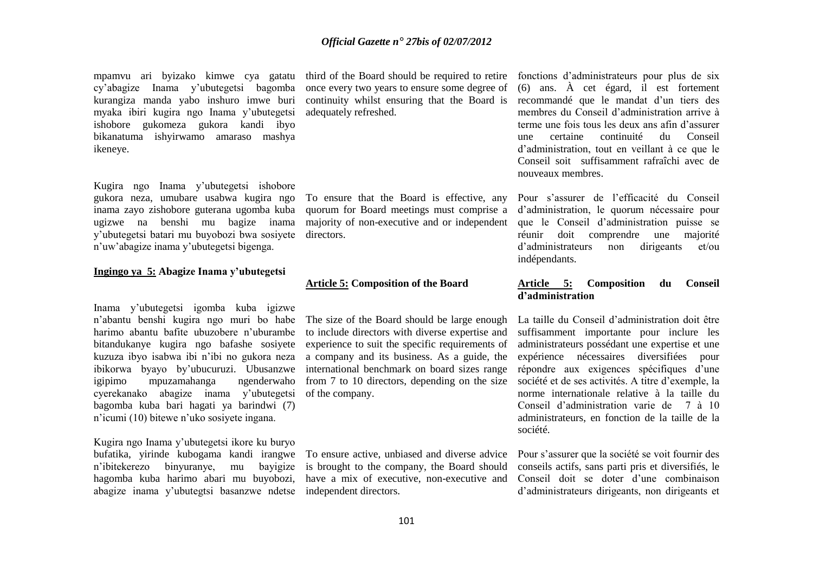mpamvu ari byizako kimwe cya gatatu third of the Board should be required to retire fonctions d"administrateurs pour plus de six cy"abagize Inama y"ubutegetsi bagomba kurangiza manda yabo inshuro imwe buri myaka ibiri kugira ngo Inama y"ubutegetsi adequately refreshed. ishobore gukomeza gukora kandi ibyo bikanatuma ishyirwamo amaraso mashya ikeneye.

Kugira ngo Inama y"ubutegetsi ishobore gukora neza, umubare usabwa kugira ngo inama zayo zishobore guterana ugomba kuba ugizwe na benshi mu bagize inama majority of non-executive and or independent y"ubutegetsi batari mu buyobozi bwa sosiyete directors. n"uw"abagize inama y"ubutegetsi bigenga.

#### **Ingingo ya 5: Abagize Inama y'ubutegetsi**

Inama y"ubutegetsi igomba kuba igizwe n"abantu benshi kugira ngo muri bo habe harimo abantu bafite ubuzobere n"uburambe bitandukanye kugira ngo bafashe sosiyete kuzuza ibyo isabwa ibi n"ibi no gukora neza ibikorwa byayo by"ubucuruzi. Ubusanzwe igipimo mpuzamahanga cyerekanako abagize inama y"ubutegetsi of the company. bagomba kuba bari hagati ya barindwi (7) n"icumi (10) bitewe n"uko sosiyete ingana.

Kugira ngo Inama y"ubutegetsi ikore ku buryo abagize inama y"ubutegtsi basanzwe ndetse independent directors.

once every two years to ensure some degree of continuity whilst ensuring that the Board is

To ensure that the Board is effective, any quorum for Board meetings must comprise a

#### **Article 5: Composition of the Board**

The size of the Board should be large enough to include directors with diverse expertise and experience to suit the specific requirements of a company and its business. As a guide, the international benchmark on board sizes range ngenderwaho from 7 to 10 directors, depending on the size

bufatika, yirinde kubogama kandi irangwe To ensure active, unbiased and diverse advice n"ibitekerezo binyuranye, mu bayigize is brought to the company, the Board should hagomba kuba harimo abari mu buyobozi, have a mix of executive, non-executive and

(6) ans. À cet égard, il est fortement recommandé que le mandat d'un tiers des membres du Conseil d"administration arrive à terme une fois tous les deux ans afin d"assurer une certaine continuité du Conseil d"administration, tout en veillant à ce que le Conseil soit suffisamment rafraîchi avec de nouveaux membres.

Pour s"assurer de l"efficacité du Conseil d"administration, le quorum nécessaire pour que le Conseil d"administration puisse se réunir doit comprendre une majorité d"administrateurs non dirigeants et/ou indépendants.

#### **Article 5: Composition du Conseil d'administration**

La taille du Conseil d"administration doit être suffisamment importante pour inclure les administrateurs possédant une expertise et une expérience nécessaires diversifiées pour répondre aux exigences spécifiques d"une société et de ses activités. A titre d"exemple, la norme internationale relative à la taille du Conseil d"administration varie de 7 à 10 administrateurs, en fonction de la taille de la société.

Pour s"assurer que la société se voit fournir des conseils actifs, sans parti pris et diversifiés, le Conseil doit se doter d"une combinaison d"administrateurs dirigeants, non dirigeants et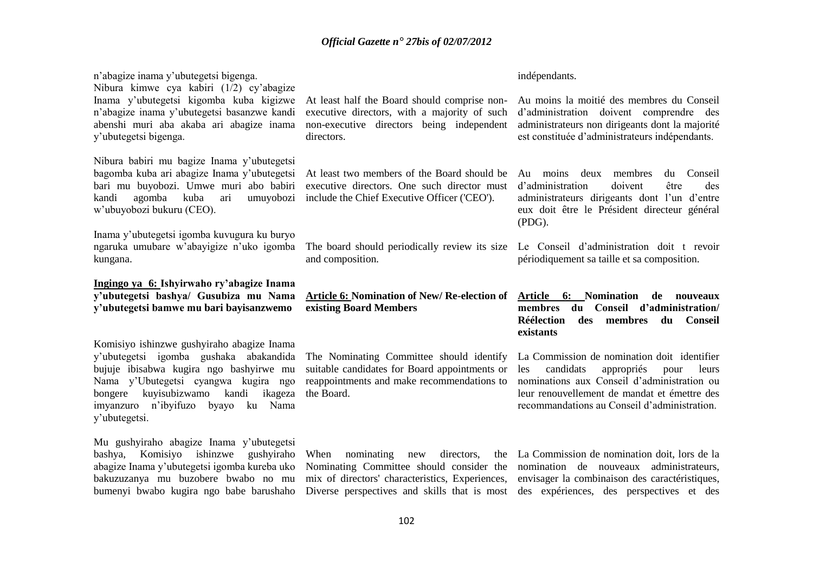| n'abagize inama y'ubutegetsi bigenga.<br>Nibura kimwe cya kabiri (1/2) cy'abagize<br>Inama y'ubutegetsi kigomba kuba kigizwe<br>n'abagize inama y'ubutegetsi basanzwe kandi<br>abenshi muri aba akaba ari abagize inama<br>y'ubutegetsi bigenga.                                           | At least half the Board should comprise non-<br>executive directors, with a majority of such<br>non-executive directors being independent<br>directors. | indépendants.<br>Au moins la moitié des membres du Conseil<br>d'administration doivent comprendre des<br>administrateurs non dirigeants dont la majorité<br>est constituée d'administrateurs indépendants.                                    |
|--------------------------------------------------------------------------------------------------------------------------------------------------------------------------------------------------------------------------------------------------------------------------------------------|---------------------------------------------------------------------------------------------------------------------------------------------------------|-----------------------------------------------------------------------------------------------------------------------------------------------------------------------------------------------------------------------------------------------|
| Nibura babiri mu bagize Inama y'ubutegetsi<br>bagomba kuba ari abagize Inama y'ubutegetsi<br>bari mu buyobozi. Umwe muri abo babiri<br>kuba<br>kandi<br>agomba<br>ari<br>umuyobozi<br>w'ubuyobozi bukuru (CEO).                                                                            | At least two members of the Board should be<br>executive directors. One such director must<br>include the Chief Executive Officer ('CEO').              | moins<br>deux membres<br>du<br>Conseil<br>Au<br>d'administration<br>doivent<br>être<br>des<br>administrateurs dirigeants dont l'un d'entre<br>eux doit être le Président directeur général<br>(PDG).                                          |
| Inama y'ubutegetsi igomba kuvugura ku buryo<br>ngaruka umubare w'abayigize n'uko igomba<br>kungana.                                                                                                                                                                                        | The board should periodically review its size<br>and composition.                                                                                       | Le Conseil d'administration doit t revoir<br>périodiquement sa taille et sa composition.                                                                                                                                                      |
|                                                                                                                                                                                                                                                                                            |                                                                                                                                                         |                                                                                                                                                                                                                                               |
| Ingingo ya 6: Ishyirwaho ry'abagize Inama<br>y'ubutegetsi bashya/ Gusubiza mu Nama<br>y'ubutegetsi bamwe mu bari bayisanzwemo                                                                                                                                                              | <b>Article 6: Nomination of New/Re-election of</b><br>existing Board Members                                                                            | Article 6: Nomination<br>de<br>nouveaux<br>du<br>Conseil d'administration/<br>membres<br><b>Réélection</b><br>des<br>membres<br>du<br>Conseil<br>existants                                                                                    |
| Komisiyo ishinzwe gushyiraho abagize Inama<br>y'ubutegetsi igomba gushaka abakandida<br>bujuje ibisabwa kugira ngo bashyirwe mu<br>Nama y'Ubutegetsi cyangwa kugira ngo<br>kuyisubizwamo<br>kandi<br>bongere<br>ikageza<br>n'ibyifuzo<br>imyanzuro<br>byayo<br>ku<br>Nama<br>y'ubutegetsi. | The Nominating Committee should identify<br>suitable candidates for Board appointments or<br>reappointments and make recommendations to<br>the Board.   | La Commission de nomination doit identifier<br>candidats<br>les<br>appropriés<br>leurs<br>pour<br>nominations aux Conseil d'administration ou<br>leur renouvellement de mandat et émettre des<br>recommandations au Conseil d'administration. |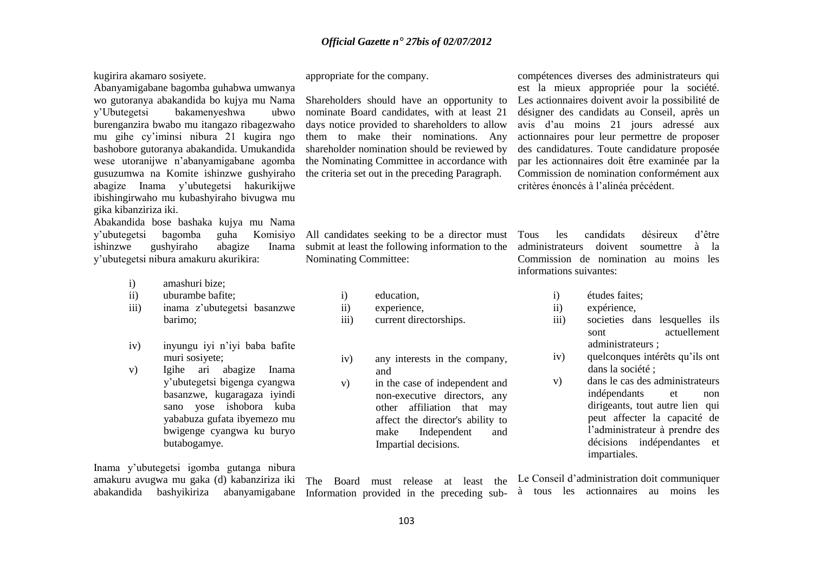kugirira akamaro sosiyete.

Abanyamigabane bagomba guhabwa umwanya wo gutoranya abakandida bo kujya mu Nama y"Ubutegetsi bakamenyeshwa ubwo burenganzira bwabo mu itangazo ribagezwaho mu gihe cy"iminsi nibura 21 kugira ngo bashobore gutoranya abakandida. Umukandida wese utoranijwe n"abanyamigabane agomba gusuzumwa na Komite ishinzwe gushyiraho abagize Inama y"ubutegetsi hakurikijwe ibishingirwaho mu kubashyiraho bivugwa mu gika kibanziriza iki.

Abakandida bose bashaka kujya mu Nama y"ubutegetsi bagomba guha Komisiyo ishinzwe gushyiraho abagize Inama y"ubutegetsi nibura amakuru akurikira:

- i) amashuri bize;
- ii) uburambe bafite;
- iii) inama z"ubutegetsi basanzwe barimo;
- iv) inyungu iyi n"iyi baba bafite muri sosiyete;
- v) Igihe ari abagize Inama y"ubutegetsi bigenga cyangwa basanzwe, kugaragaza iyindi sano yose ishobora kuba yababuza gufata ibyemezo mu bwigenge cyangwa ku buryo butabogamye.

Inama y"ubutegetsi igomba gutanga nibura amakuru avugwa mu gaka (d) kabanziriza iki abakandida bashyikiriza abanyamigabane appropriate for the company.

Shareholders should have an opportunity to nominate Board candidates, with at least 21 days notice provided to shareholders to allow them to make their nominations. Any shareholder nomination should be reviewed by the Nominating Committee in accordance with the criteria set out in the preceding Paragraph.

All candidates seeking to be a director must submit at least the following information to the Nominating Committee:

- i) education,
- ii) experience,
- iii) current directorships.
- iv) any interests in the company, and
- v) in the case of independent and non-executive directors, any other affiliation that may affect the director's ability to make Independent and Impartial decisions.

compétences diverses des administrateurs qui est la mieux appropriée pour la société. Les actionnaires doivent avoir la possibilité de désigner des candidats au Conseil, après un avis d"au moins 21 jours adressé aux actionnaires pour leur permettre de proposer des candidatures. Toute candidature proposée par les actionnaires doit être examinée par la Commission de nomination conformément aux critères énoncés à l"alinéa précédent.

Tous les candidats désireux d"être administrateurs doivent soumettre à la Commission de nomination au moins les informations suivantes:

- i) études faites;
- ii) expérience,
- iii) societies dans lesquelles ils sont actuellement administrateurs ;
- iv) quelconques intérêts qu"ils ont dans la société ;
- v) dans le cas des administrateurs indépendants et non dirigeants, tout autre lien qui peut affecter la capacité de l"administrateur à prendre des décisions indépendantes et impartiales.

The Board must release at least the Information provided in the preceding sub-à tous les actionnaires au moins les Le Conseil d"administration doit communiquer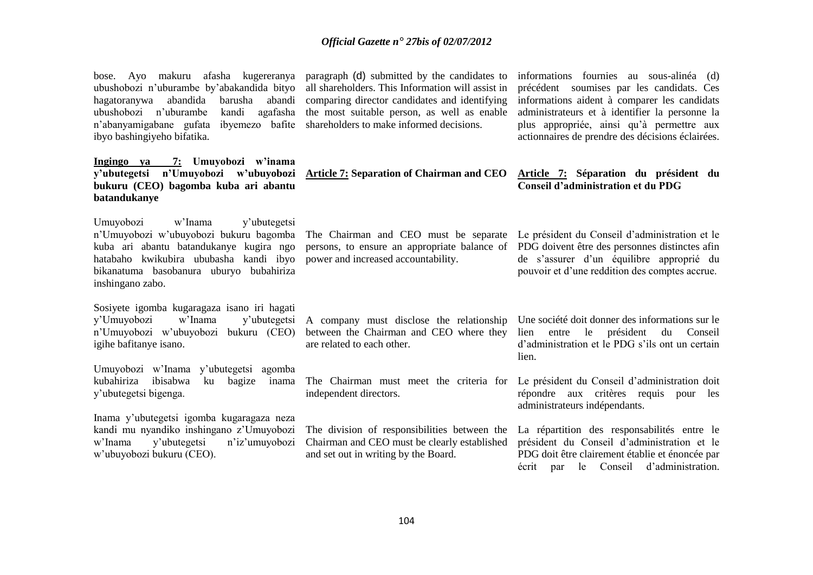ubushobozi n"uburambe by"abakandida bityo hagatoranywa abandida barusha abandi ubushobozi n"uburambe kandi agafasha n"abanyamigabane gufata ibyemezo bafite shareholders to make informed decisions. ibyo bashingiyeho bifatika.

**Ingingo ya 7: Umuyobozi w'inama y'ubutegetsi n'Umuyobozi w'ubuyobozi Article 7: Separation of Chairman and CEO bukuru (CEO) bagomba kuba ari abantu batandukanye** 

Umuyobozi w'Inama y'ubutegetsi n"Umuyobozi w"ubuyobozi bukuru bagomba kuba ari abantu batandukanye kugira ngo hatabaho kwikubira ububasha kandi ibyo power and increased accountability. bikanatuma basobanura uburyo bubahiriza inshingano zabo.

Sosiyete igomba kugaragaza isano iri hagati y"Umuyobozi w"Inama y"ubutegetsi A company must disclose the relationship n"Umuyobozi w"ubuyobozi bukuru (CEO) igihe bafitanye isano.

Umuyobozi w"Inama y"ubutegetsi agomba kubahiriza ibisabwa ku bagize inama y"ubutegetsi bigenga.

Inama y"ubutegetsi igomba kugaragaza neza kandi mu nyandiko inshingano z"Umuyobozi w'Inama y'ubutegetsi n'iz'umuyobozi w"ubuyobozi bukuru (CEO).

bose. Ayo makuru afasha kugereranya paragraph (d) submitted by the candidates to all shareholders. This Information will assist in comparing director candidates and identifying the most suitable person, as well as enable

The Chairman and CEO must be separate Le président du Conseil d"administration et le

The Chairman must meet the criteria for

The division of responsibilities between the Chairman and CEO must be clearly established

and set out in writing by the Board.

are related to each other.

independent directors.

informations fournies au sous-alinéa (d) précédent soumises par les candidats. Ces informations aident à comparer les candidats administrateurs et à identifier la personne la plus appropriée, ainsi qu"à permettre aux actionnaires de prendre des décisions éclairées.

#### **Article 7: Séparation du président du Conseil d'administration et du PDG**

persons, to ensure an appropriate balance of PDG doivent être des personnes distinctes afin de s"assurer d"un équilibre approprié du pouvoir et d"une reddition des comptes accrue.

between the Chairman and CEO where they Une société doit donner des informations sur le lien entre le président du Conseil d"administration et le PDG s"ils ont un certain lien.

> Le président du Conseil d"administration doit répondre aux critères requis pour les administrateurs indépendants.

> La répartition des responsabilités entre le président du Conseil d"administration et le PDG doit être clairement établie et énoncée par écrit par le Conseil d"administration.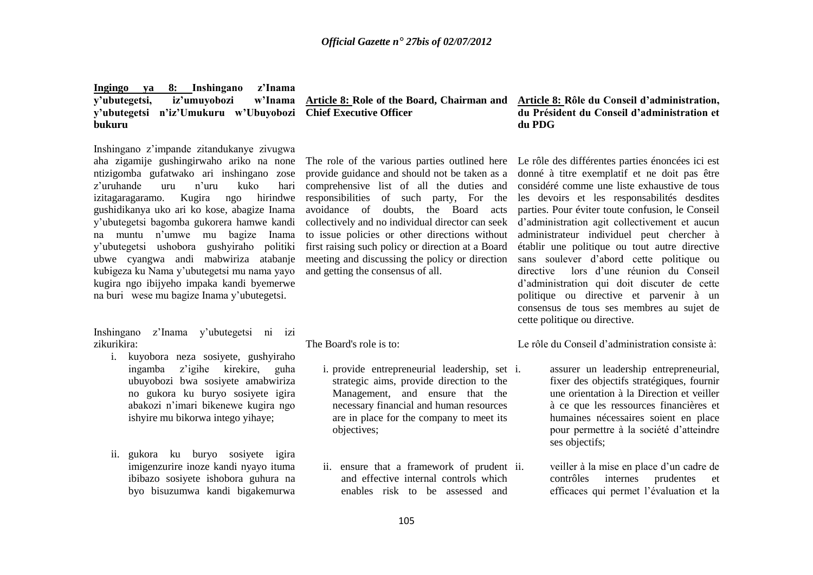# **Ingingo ya 8: Inshingano z'Inama** *iz'umuvobozi* **y'ubutegetsi n'iz'Umukuru w'Ubuyobozi Chief Executive Officer bukuru**

Inshingano z"impande zitandukanye zivugwa aha zigamije gushingirwaho ariko na none ntizigomba gufatwako ari inshingano zose z"uruhande uru n"uru kuko hari izitagaragaramo. Kugira ngo hirindwe gushidikanya uko ari ko kose, abagize Inama y"ubutegetsi bagomba gukorera hamwe kandi na muntu n"umwe mu bagize Inama y"ubutegetsi ushobora gushyiraho politiki ubwe cyangwa andi mabwiriza atabanje kubigeza ku Nama y"ubutegetsi mu nama yayo kugira ngo ibijyeho impaka kandi byemerwe na buri wese mu bagize Inama y"ubutegetsi.

Inshingano z"Inama y"ubutegetsi ni izi zikurikira:

- i. kuyobora neza sosiyete, gushyiraho ingamba z"igihe kirekire, guha ubuyobozi bwa sosiyete amabwiriza no gukora ku buryo sosiyete igira abakozi n"imari bikenewe kugira ngo ishyire mu bikorwa intego yihaye;
- ii. gukora ku buryo sosiyete igira imigenzurire inoze kandi nyayo ituma ibibazo sosiyete ishobora guhura na byo bisuzumwa kandi bigakemurwa

**Article 8: Role of the Board, Chairman and Article 8: Rôle du Conseil d'administration,** 

The role of the various parties outlined here Le rôle des différentes parties énoncées ici est provide guidance and should not be taken as a comprehensive list of all the duties and responsibilities of such party, For the avoidance of doubts, the Board acts collectively and no individual director can seek d"administration agit collectivement et aucun to issue policies or other directions without first raising such policy or direction at a Board meeting and discussing the policy or direction and getting the consensus of all.

The Board's role is to:

- i. provide entrepreneurial leadership, set strategic aims, provide direction to the Management, and ensure that the necessary financial and human resources are in place for the company to meet its objectives;
- ii. ensure that a framework of prudent and effective internal controls which enables risk to be assessed and

# **du Président du Conseil d'administration et du PDG**

donné à titre exemplatif et ne doit pas être considéré comme une liste exhaustive de tous les devoirs et les responsabilités desdites parties. Pour éviter toute confusion, le Conseil administrateur individuel peut chercher à établir une politique ou tout autre directive sans soulever d"abord cette politique ou directive lors d"une réunion du Conseil d"administration qui doit discuter de cette politique ou directive et parvenir à un consensus de tous ses membres au sujet de cette politique ou directive.

Le rôle du Conseil d"administration consiste à:

- assurer un leadership entrepreneurial, fixer des objectifs stratégiques, fournir une orientation à la Direction et veiller à ce que les ressources financières et humaines nécessaires soient en place pour permettre à la société d"atteindre ses objectifs;
- veiller à la mise en place d'un cadre de contrôles internes prudentes et efficaces qui permet l"évaluation et la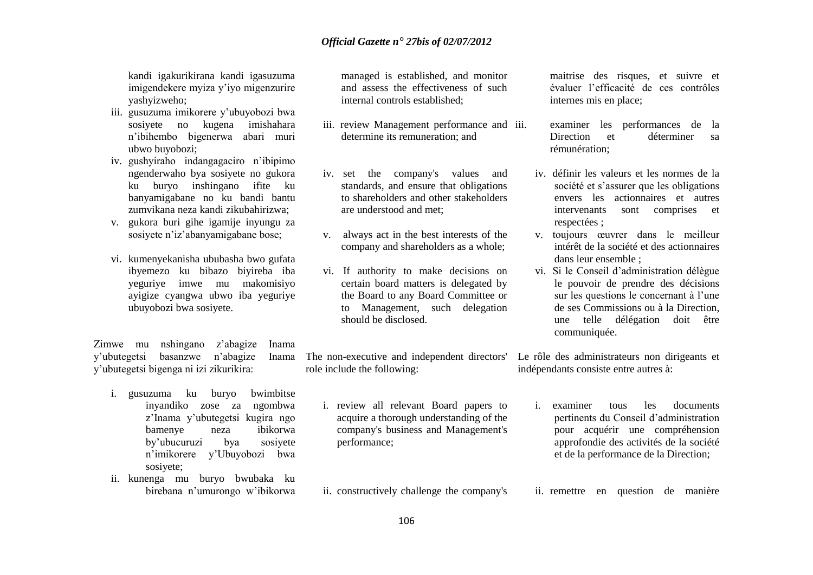kandi igakurikirana kandi igasuzuma imigendekere myiza y"iyo migenzurire yashyizweho;

- iii. gusuzuma imikorere y"ubuyobozi bwa sosiyete no kugena imishahara n"ibihembo bigenerwa abari muri ubwo buyobozi;
- iv. gushyiraho indangagaciro n"ibipimo ngenderwaho bya sosiyete no gukora ku buryo inshingano ifite ku banyamigabane no ku bandi bantu zumvikana neza kandi zikubahirizwa;
- v. gukora buri gihe igamije inyungu za sosiyete n'iz'abanyamigabane bose;
- vi. kumenyekanisha ububasha bwo gufata ibyemezo ku bibazo biyireba iba yeguriye imwe mu makomisiyo ayigize cyangwa ubwo iba yeguriye ubuyobozi bwa sosiyete.

Zimwe mu nshingano z"abagize Inama y"ubutegetsi basanzwe n"abagize Inama y"ubutegetsi bigenga ni izi zikurikira:

- i. gusuzuma ku buryo bwimbitse inyandiko zose za ngombwa z"Inama y"ubutegetsi kugira ngo bamenye neza ibikorwa by"ubucuruzi bya sosiyete n"imikorere y"Ubuyobozi bwa sosiyete;
- ii. kunenga mu buryo bwubaka ku birebana n"umurongo w"ibikorwa

managed is established, and monitor and assess the effectiveness of such internal controls established;

- iii. review Management performance and iii. determine its remuneration; and
- iv. set the company's values and standards, and ensure that obligations to shareholders and other stakeholders are understood and met;
- v. always act in the best interests of the company and shareholders as a whole;
- vi. If authority to make decisions on certain board matters is delegated by the Board to any Board Committee or to Management, such delegation should be disclosed.

role include the following:

i. review all relevant Board papers to acquire a thorough understanding of the company's business and Management's performance;

ii. constructively challenge the company's

maitrise des risques, et suivre et évaluer l"efficacité de ces contrôles internes mis en place;

examiner les performances de la Direction et déterminer sa rémunération;

- iv. définir les valeurs et les normes de la société et s'assurer que les obligations envers les actionnaires et autres intervenants sont comprises et respectées ;
- v. toujours œuvrer dans le meilleur intérêt de la société et des actionnaires dans leur ensemble ;
- vi. Si le Conseil d"administration délègue le pouvoir de prendre des décisions sur les questions le concernant à l"une de ses Commissions ou à la Direction, une telle délégation doit être communiquée.

The non-executive and independent directors' Le rôle des administrateurs non dirigeants et indépendants consiste entre autres à:

> i. examiner tous les documents pertinents du Conseil d"administration pour acquérir une compréhension approfondie des activités de la société et de la performance de la Direction;

ii. remettre en question de manière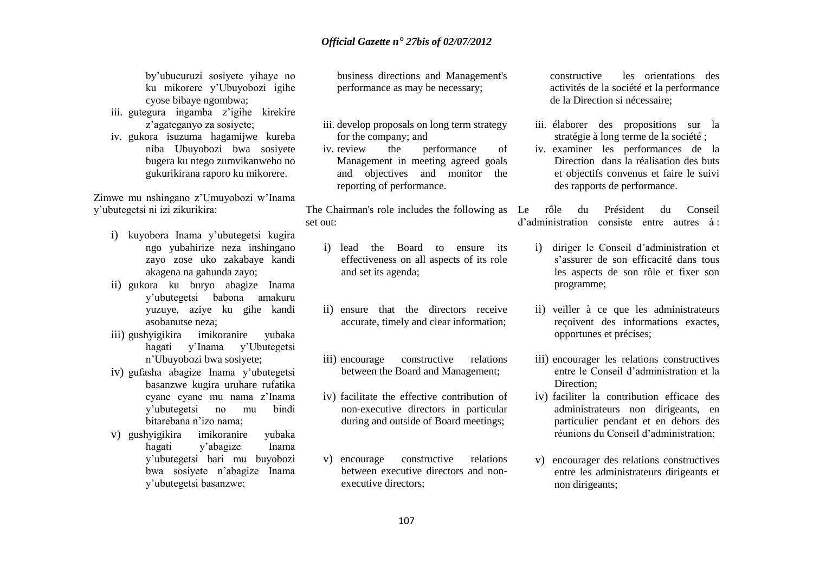by"ubucuruzi sosiyete yihaye no ku mikorere y"Ubuyobozi igihe cyose bibaye ngombwa;

- iii. gutegura ingamba z"igihe kirekire z"agateganyo za sosiyete;
- iv. gukora isuzuma hagamijwe kureba niba Ubuyobozi bwa sosiyete bugera ku ntego zumvikanweho no gukurikirana raporo ku mikorere.

Zimwe mu nshingano z"Umuyobozi w"Inama y"ubutegetsi ni izi zikurikira:

- i) kuyobora Inama y"ubutegetsi kugira ngo yubahirize neza inshingano zayo zose uko zakabaye kandi akagena na gahunda zayo;
- ii) gukora ku buryo abagize Inama y"ubutegetsi babona amakuru yuzuye, aziye ku gihe kandi asobanutse neza;
- iii) gushyigikira imikoranire yubaka hagati y"Inama y"Ubutegetsi n"Ubuyobozi bwa sosiyete;
- iv) gufasha abagize Inama y"ubutegetsi basanzwe kugira uruhare rufatika cyane cyane mu nama z"Inama y"ubutegetsi no mu bindi bitarebana n"izo nama;
- v) gushyigikira imikoranire yubaka hagati y"abagize Inama y"ubutegetsi bari mu buyobozi bwa sosiyete n"abagize Inama y"ubutegetsi basanzwe;

business directions and Management's performance as may be necessary;

- iii. develop proposals on long term strategy for the company; and
- iv. review the performance of Management in meeting agreed goals and objectives and monitor the reporting of performance.

The Chairman's role includes the following as Le set out:

- i) lead the Board to ensure its effectiveness on all aspects of its role and set its agenda;
- ii) ensure that the directors receive accurate, timely and clear information;
- iii) encourage constructive relations between the Board and Management;
- iv) facilitate the effective contribution of non-executive directors in particular during and outside of Board meetings;
- v) encourage constructive relations between executive directors and nonexecutive directors;

constructive les orientations des activités de la société et la performance de la Direction si nécessaire;

- iii. élaborer des propositions sur la stratégie à long terme de la société ;
- iv. examiner les performances de la Direction dans la réalisation des buts et objectifs convenus et faire le suivi des rapports de performance.

rôle du Président du Conseil d"administration consiste entre autres à :

- i) diriger le Conseil d"administration et s"assurer de son efficacité dans tous les aspects de son rôle et fixer son programme;
- ii) veiller à ce que les administrateurs reçoivent des informations exactes, opportunes et précises;
- iii) encourager les relations constructives entre le Conseil d"administration et la Direction;
- iv) faciliter la contribution efficace des administrateurs non dirigeants, en particulier pendant et en dehors des réunions du Conseil d"administration;
- v) encourager des relations constructives entre les administrateurs dirigeants et non dirigeants;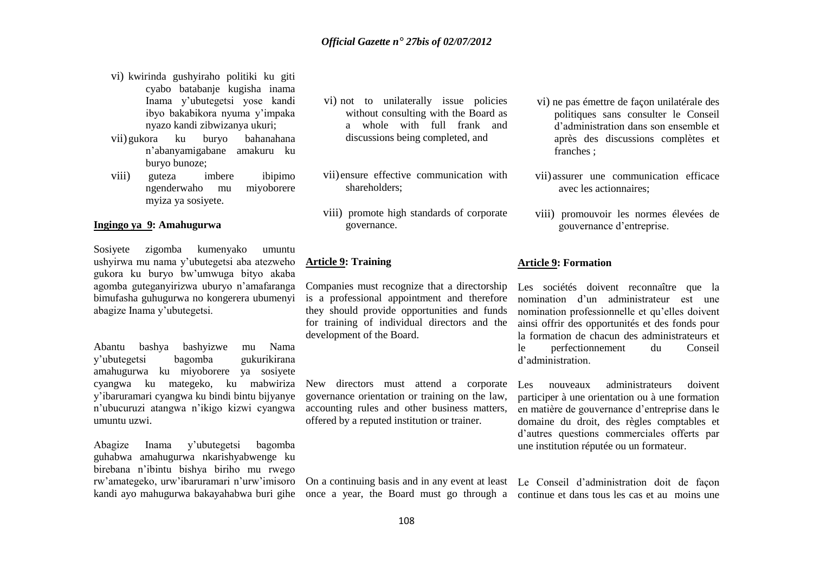- vi) kwirinda gushyiraho politiki ku giti cyabo batabanje kugisha inama Inama y"ubutegetsi yose kandi ibyo bakabikora nyuma y"impaka nyazo kandi zibwizanya ukuri;
- vii)gukora ku buryo bahanahana n"abanyamigabane amakuru ku buryo bunoze;
- viii) guteza imbere ibipimo ngenderwaho mu miyoborere myiza ya sosiyete.

#### **Ingingo ya 9: Amahugurwa**

Sosiyete zigomba kumenyako umuntu ushyirwa mu nama y"ubutegetsi aba atezweho gukora ku buryo bw"umwuga bityo akaba agomba guteganyirizwa uburyo n"amafaranga bimufasha guhugurwa no kongerera ubumenyi abagize Inama y"ubutegetsi.

Abantu bashya bashyizwe mu Nama y"ubutegetsi bagomba gukurikirana amahugurwa ku miyoborere ya sosiyete cyangwa ku mategeko, ku mabwiriza New directors must attend a corporate y"ibaruramari cyangwa ku bindi bintu bijyanye n"ubucuruzi atangwa n"ikigo kizwi cyangwa umuntu uzwi.

Abagize Inama y"ubutegetsi bagomba guhabwa amahugurwa nkarishyabwenge ku birebana n"ibintu bishya biriho mu rwego rw'amategeko, urw'ibaruramari n'urw'imisoro On a continuing basis and in any event at least Le Conseil d'administration doit de façon

- vi) not to unilaterally issue policies without consulting with the Board as a whole with full frank and discussions being completed, and
- vii) ensure effective communication with shareholders;
- viii) promote high standards of corporate governance.

#### **Article 9: Training**

Companies must recognize that a directorship is a professional appointment and therefore they should provide opportunities and funds for training of individual directors and the development of the Board.

governance orientation or training on the law, accounting rules and other business matters, offered by a reputed institution or trainer.

- vi) ne pas émettre de façon unilatérale des politiques sans consulter le Conseil d"administration dans son ensemble et après des discussions complètes et franches ;
- vii) assurer une communication efficace avec les actionnaires;
- viii) promouvoir les normes élevées de gouvernance d"entreprise.

#### **Article 9: Formation**

Les sociétés doivent reconnaître que la nomination d"un administrateur est une nomination professionnelle et qu"elles doivent ainsi offrir des opportunités et des fonds pour la formation de chacun des administrateurs et le perfectionnement du Conseil d"administration.

Les nouveaux administrateurs doivent participer à une orientation ou à une formation en matière de gouvernance d"entreprise dans le domaine du droit, des règles comptables et d"autres questions commerciales offerts par une institution réputée ou un formateur.

kandi ayo mahugurwa bakayahabwa buri gihe once a year, the Board must go through a continue et dans tous les cas et au moins une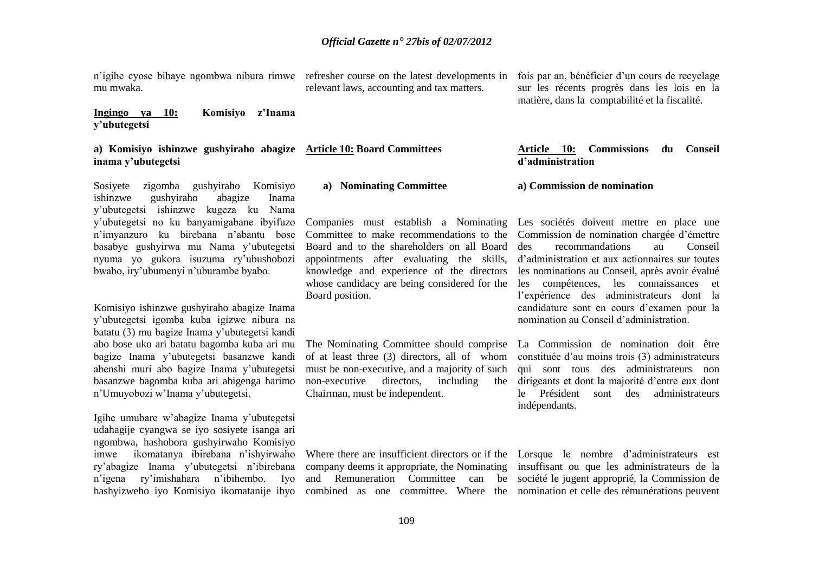of at least three (3) directors, all of whom must be non-executive, and a majority of such

Board and to the shareholders on all Board appointments after evaluating the skills, knowledge and experience of the directors

# *Official Gazette n° 27bis of 02/07/2012*

n'igihe cyose bibaye ngombwa nibura rimwe refresher course on the latest developments in mu mwaka.

relevant laws, accounting and tax matters.

**a) Nominating Committee**

Board position.

#### **Ingingo ya 10: Komisiyo z'Inama y'ubutegetsi**

#### **a) Komisiyo ishinzwe gushyiraho abagize Article 10: Board Committees inama y'ubutegetsi**

Sosiyete zigomba gushyiraho Komisiyo ishinzwe gushyiraho abagize Inama y"ubutegetsi ishinzwe kugeza ku Nama y"ubutegetsi no ku banyamigabane ibyifuzo n"imyanzuro ku birebana n"abantu bose basabye gushyirwa mu Nama y"ubutegetsi nyuma yo gukora isuzuma ry"ubushobozi bwabo, iry"ubumenyi n"uburambe byabo.

Komisiyo ishinzwe gushyiraho abagize Inama y"ubutegetsi igomba kuba igizwe nibura na batatu (3) mu bagize Inama y"ubutegetsi kandi abo bose uko ari batatu bagomba kuba ari mu bagize Inama y"ubutegetsi basanzwe kandi abenshi muri abo bagize Inama y"ubutegetsi basanzwe bagomba kuba ari abigenga harimo n"Umuyobozi w"Inama y"ubutegetsi.

Igihe umubare w"abagize Inama y"ubutegetsi udahagije cyangwa se iyo sosiyete isanga ari ngombwa, hashobora gushyirwaho Komisiyo imwe ikomatanya ibirebana n"ishyirwaho ry"abagize Inama y"ubutegetsi n"ibirebana n"igena ry"imishahara n"ibihembo. Iyo hashyizweho iyo Komisiyo ikomatanije ibyo combined as one committee. Where the nomination et celle des rémunérations peuvent

Where there are insufficient directors or if the Lorsque le nombre d'administrateurs est company deems it appropriate, the Nominating insuffisant ou que les administrateurs de la and Remuneration Committee can be société le jugent approprié, la Commission de

fois par an, bénéficier d"un cours de recyclage sur les récents progrès dans les lois en la matière, dans la comptabilité et la fiscalité.

#### **Article 10: Commissions du Conseil d'administration**

#### **a) Commission de nomination**

Companies must establish a Nominating Les sociétés doivent mettre en place une Committee to make recommendations to the Commission de nomination chargée d"émettre whose candidacy are being considered for the les compétences, les connaissances et des recommandations au Conseil d"administration et aux actionnaires sur toutes les nominations au Conseil, après avoir évalué l"expérience des administrateurs dont la candidature sont en cours d"examen pour la nomination au Conseil d"administration.

The Nominating Committee should comprise La Commission de nomination doit être constituée d"au moins trois (3) administrateurs qui sont tous des administrateurs non dirigeants et dont la majorité d"entre eux dont le Président sont des administrateurs indépendants.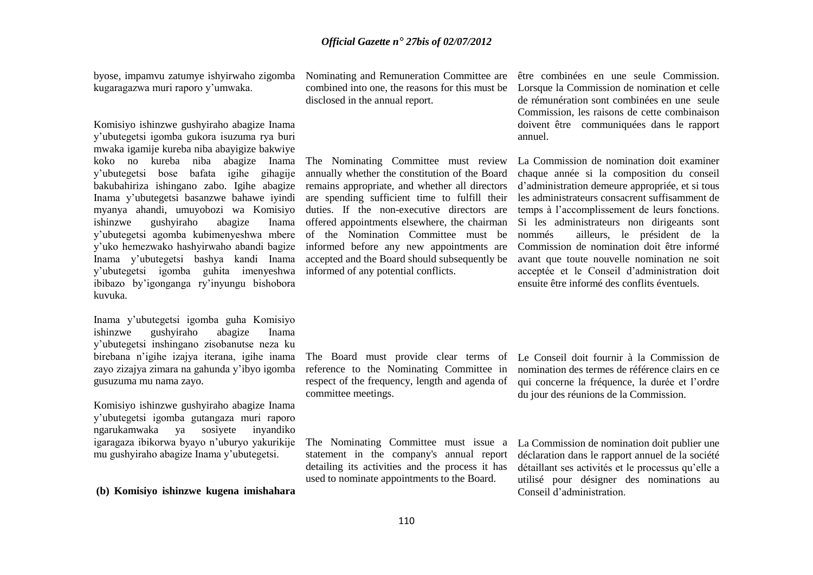byose, impamvu zatumye ishyirwaho zigomba Nominating and Remuneration Committee are kugaragazwa muri raporo y"umwaka.

Komisiyo ishinzwe gushyiraho abagize Inama y"ubutegetsi igomba gukora isuzuma rya buri mwaka igamije kureba niba abayigize bakwiye koko no kureba niba abagize Inama y"ubutegetsi bose bafata igihe gihagije bakubahiriza ishingano zabo. Igihe abagize Inama y"ubutegetsi basanzwe bahawe iyindi myanya ahandi, umuyobozi wa Komisiyo ishinzwe gushyiraho abagize y"ubutegetsi agomba kubimenyeshwa mbere y"uko hemezwako hashyirwaho abandi bagize Inama y"ubutegetsi bashya kandi Inama y"ubutegetsi igomba guhita imenyeshwa ibibazo by"igonganga ry"inyungu bishobora kuvuka.

Inama y"ubutegetsi igomba guha Komisiyo ishinzwe gushyiraho abagize Inama y"ubutegetsi inshingano zisobanutse neza ku birebana n"igihe izajya iterana, igihe inama zayo zizajya zimara na gahunda y"ibyo igomba gusuzuma mu nama zayo.

Komisiyo ishinzwe gushyiraho abagize Inama y"ubutegetsi igomba gutangaza muri raporo ngarukamwaka ya sosiyete inyandiko igaragaza ibikorwa byayo n"uburyo yakurikije mu gushyiraho abagize Inama y"ubutegetsi.

**(b) Komisiyo ishinzwe kugena imishahara** 

combined into one, the reasons for this must be disclosed in the annual report.

The Nominating Committee must review annually whether the constitution of the Board remains appropriate, and whether all directors are spending sufficient time to fulfill their duties. If the non-executive directors are Inama offered appointments elsewhere, the chairman of the Nomination Committee must be informed before any new appointments are accepted and the Board should subsequently be informed of any potential conflicts.

> The Board must provide clear terms of reference to the Nominating Committee in respect of the frequency, length and agenda of committee meetings.

> The Nominating Committee must issue a statement in the company's annual report detailing its activities and the process it has used to nominate appointments to the Board.

être combinées en une seule Commission. Lorsque la Commission de nomination et celle de rémunération sont combinées en une seule Commission, les raisons de cette combinaison doivent être communiquées dans le rapport annuel.

La Commission de nomination doit examiner chaque année si la composition du conseil d"administration demeure appropriée, et si tous les administrateurs consacrent suffisamment de temps à l"accomplissement de leurs fonctions. Si les administrateurs non dirigeants sont nommés ailleurs, le président de la Commission de nomination doit être informé avant que toute nouvelle nomination ne soit acceptée et le Conseil d"administration doit ensuite être informé des conflits éventuels.

Le Conseil doit fournir à la Commission de nomination des termes de référence clairs en ce qui concerne la fréquence, la durée et l"ordre du jour des réunions de la Commission.

La Commission de nomination doit publier une déclaration dans le rapport annuel de la société détaillant ses activités et le processus qu"elle a utilisé pour désigner des nominations au Conseil d"administration.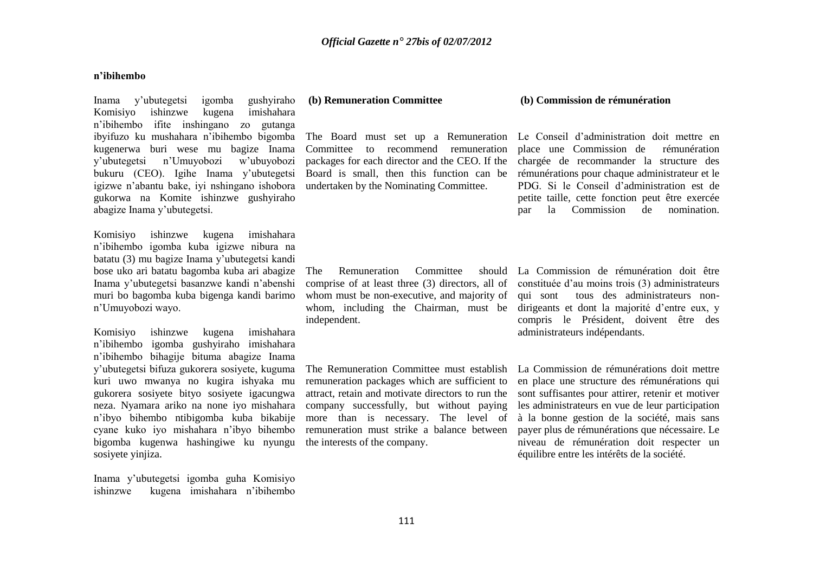#### **n'ibihembo**

Inama y"ubutegetsi igomba gushyiraho Komisiyo ishinzwe kugena imishahara n"ibihembo ifite inshingano zo gutanga ibyifuzo ku mushahara n"ibihembo bigomba The Board must set up a Remuneration kugenerwa buri wese mu bagize Inama y'ubutegetsi n'Umuyobozi bukuru (CEO). Igihe Inama y"ubutegetsi igizwe n"abantu bake, iyi nshingano ishobora gukorwa na Komite ishinzwe gushyiraho abagize Inama y"ubutegetsi.

Komisiyo ishinzwe kugena imishahara n"ibihembo igomba kuba igizwe nibura na batatu (3) mu bagize Inama y"ubutegetsi kandi bose uko ari batatu bagomba kuba ari abagize Inama y"ubutegetsi basanzwe kandi n"abenshi muri bo bagomba kuba bigenga kandi barimo n"Umuyobozi wayo.

Komisiyo ishinzwe kugena imishahara n"ibihembo igomba gushyiraho imishahara n"ibihembo bihagije bituma abagize Inama y"ubutegetsi bifuza gukorera sosiyete, kuguma kuri uwo mwanya no kugira ishyaka mu gukorera sosiyete bityo sosiyete igacungwa neza. Nyamara ariko na none iyo mishahara n"ibyo bihembo ntibigomba kuba bikabije cyane kuko iyo mishahara n"ibyo bihembo bigomba kugenwa hashingiwe ku nyungu sosiyete yinjiza.

Inama y"ubutegetsi igomba guha Komisiyo ishinzwe kugena imishahara n"ibihembo

#### **(b) Remuneration Committee**

Committee to recommend remuneration Board is small, then this function can be undertaken by the Nominating Committee.

The Remuneration Committee comprise of at least three (3) directors, all of constituée d"au moins trois (3) administrateurs whom must be non-executive, and majority of qui sont tous des administrateurs nonwhom, including the Chairman, must be dirigeants et dont la majorité d'entre eux, y independent.

remuneration packages which are sufficient to attract, retain and motivate directors to run the company successfully, but without paying more than is necessary. The level of remuneration must strike a balance between the interests of the company.

#### **(b) Commission de rémunération**

packages for each director and the CEO. If the chargée de recommander la structure des Le Conseil d"administration doit mettre en place une Commission de rémunération rémunérations pour chaque administrateur et le PDG. Si le Conseil d"administration est de petite taille, cette fonction peut être exercée par la Commission de nomination.

> La Commission de rémunération doit être compris le Président, doivent être des administrateurs indépendants.

The Remuneration Committee must establish La Commission de rémunérations doit mettre en place une structure des rémunérations qui sont suffisantes pour attirer, retenir et motiver les administrateurs en vue de leur participation à la bonne gestion de la société, mais sans payer plus de rémunérations que nécessaire. Le niveau de rémunération doit respecter un équilibre entre les intérêts de la société.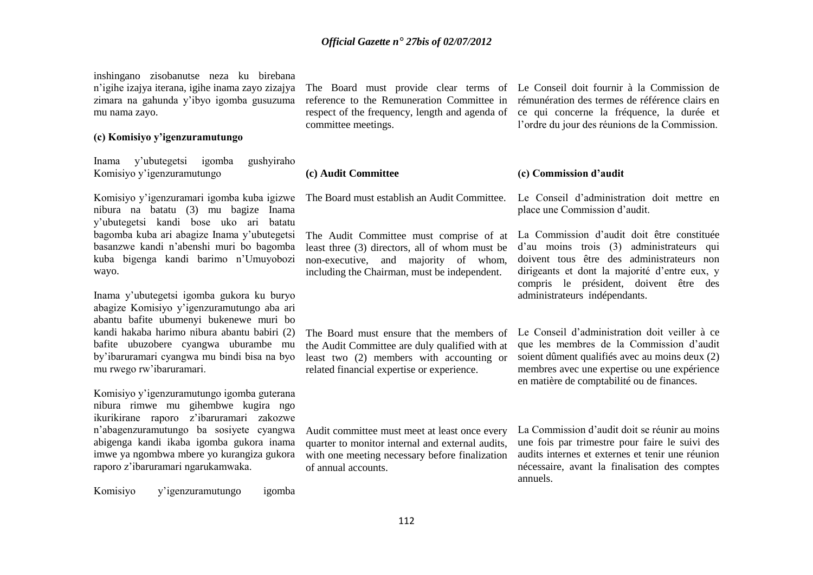inshingano zisobanutse neza ku birebana n"igihe izajya iterana, igihe inama zayo zizajya zimara na gahunda y"ibyo igomba gusuzuma mu nama zayo.

#### **(c) Komisiyo y'igenzuramutungo**

Inama y"ubutegetsi igomba gushyiraho Komisiyo y"igenzuramutungo

Komisiyo y"igenzuramari igomba kuba igizwe nibura na batatu (3) mu bagize Inama y"ubutegetsi kandi bose uko ari batatu bagomba kuba ari abagize Inama y"ubutegetsi basanzwe kandi n"abenshi muri bo bagomba kuba bigenga kandi barimo n"Umuyobozi wayo.

Inama y"ubutegetsi igomba gukora ku buryo abagize Komisiyo y"igenzuramutungo aba ari abantu bafite ubumenyi bukenewe muri bo kandi hakaba harimo nibura abantu babiri (2) bafite ubuzobere cyangwa uburambe mu by"ibaruramari cyangwa mu bindi bisa na byo mu rwego rw"ibaruramari.

Komisiyo y"igenzuramutungo igomba guterana nibura rimwe mu gihembwe kugira ngo ikurikirane raporo z"ibaruramari zakozwe n"abagenzuramutungo ba sosiyete cyangwa abigenga kandi ikaba igomba gukora inama imwe ya ngombwa mbere yo kurangiza gukora raporo z"ibaruramari ngarukamwaka.

Komisiyo y"igenzuramutungo igomba

The Board must provide clear terms of Le Conseil doit fournir à la Commission de reference to the Remuneration Committee in rémunération des termes de référence clairs en respect of the frequency, length and agenda of ce qui concerne la fréquence, la durée et committee meetings.

The Board must establish an Audit Committee.

The Audit Committee must comprise of at least three (3) directors, all of whom must be non-executive, and majority of whom, including the Chairman, must be independent.

**(c) Audit Committee**

l"ordre du jour des réunions de la Commission.

#### **(c) Commission d'audit**

Le Conseil d"administration doit mettre en place une Commission d"audit.

La Commission d"audit doit être constituée d"au moins trois (3) administrateurs qui doivent tous être des administrateurs non dirigeants et dont la majorité d"entre eux, y compris le président, doivent être des administrateurs indépendants.

The Board must ensure that the members of the Audit Committee are duly qualified with at least two (2) members with accounting or Le Conseil d"administration doit veiller à ce que les membres de la Commission d"audit soient dûment qualifiés avec au moins deux (2) membres avec une expertise ou une expérience en matière de comptabilité ou de finances.

Audit committee must meet at least once every quarter to monitor internal and external audits, with one meeting necessary before finalization of annual accounts.

related financial expertise or experience.

La Commission d"audit doit se réunir au moins une fois par trimestre pour faire le suivi des audits internes et externes et tenir une réunion nécessaire, avant la finalisation des comptes annuels.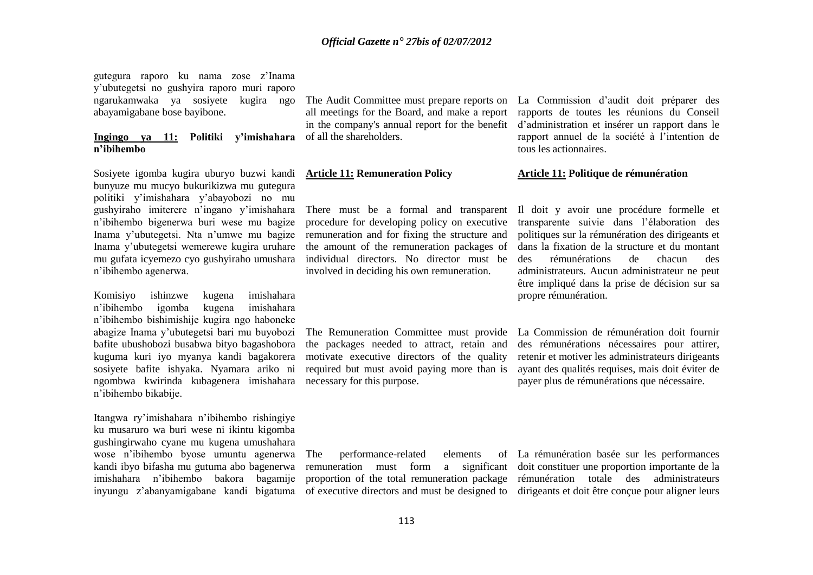gutegura raporo ku nama zose z"Inama y"ubutegetsi no gushyira raporo muri raporo ngarukamwaka ya sosiyete kugira ngo abayamigabane bose bayibone.

#### **Ingingo ya 11: Politiki y'imishahara**  of all the shareholders. **n'ibihembo**

Sosiyete igomba kugira uburyo buzwi kandi bunyuze mu mucyo bukurikizwa mu gutegura politiki y"imishahara y"abayobozi no mu gushyiraho imiterere n"ingano y"imishahara n"ibihembo bigenerwa buri wese mu bagize Inama y"ubutegetsi. Nta n"umwe mu bagize Inama y"ubutegetsi wemerewe kugira uruhare mu gufata icyemezo cyo gushyiraho umushara n"ibihembo agenerwa.

Komisiyo ishinzwe kugena imishahara n"ibihembo igomba kugena imishahara n"ibihembo bishimishije kugira ngo haboneke abagize Inama y"ubutegetsi bari mu buyobozi bafite ubushobozi busabwa bityo bagashobora kuguma kuri iyo myanya kandi bagakorera sosiyete bafite ishyaka. Nyamara ariko ni ngombwa kwirinda kubagenera imishahara necessary for this purpose. n"ibihembo bikabije.

Itangwa ry"imishahara n"ibihembo rishingiye ku musaruro wa buri wese ni ikintu kigomba gushingirwaho cyane mu kugena umushahara wose n"ibihembo byose umuntu agenerwa kandi ibyo bifasha mu gutuma abo bagenerwa imishahara n"ibihembo bakora bagamije

all meetings for the Board, and make a report in the company's annual report for the benefit

#### **Article 11: Remuneration Policy**

There must be a formal and transparent Il doit y avoir une procédure formelle et procedure for developing policy on executive remuneration and for fixing the structure and the amount of the remuneration packages of individual directors. No director must be involved in deciding his own remuneration.

The Remuneration Committee must provide the packages needed to attract, retain and motivate executive directors of the quality required but must avoid paying more than is

The performance-related elements

The Audit Committee must prepare reports on La Commission d"audit doit préparer des rapports de toutes les réunions du Conseil d"administration et insérer un rapport dans le rapport annuel de la société à l"intention de tous les actionnaires.

#### **Article 11: Politique de rémunération**

transparente suivie dans l"élaboration des politiques sur la rémunération des dirigeants et dans la fixation de la structure et du montant des rémunérations de chacun des administrateurs. Aucun administrateur ne peut être impliqué dans la prise de décision sur sa propre rémunération.

La Commission de rémunération doit fournir des rémunérations nécessaires pour attirer, retenir et motiver les administrateurs dirigeants ayant des qualités requises, mais doit éviter de payer plus de rémunérations que nécessaire.

inyungu z'abanyamigabane kandi bigatuma of executive directors and must be designed to dirigeants et doit être conçue pour aligner leurs remuneration must form a significant doit constituer une proportion importante de la proportion of the total remuneration package rémunération totale des administrateurs La rémunération basée sur les performances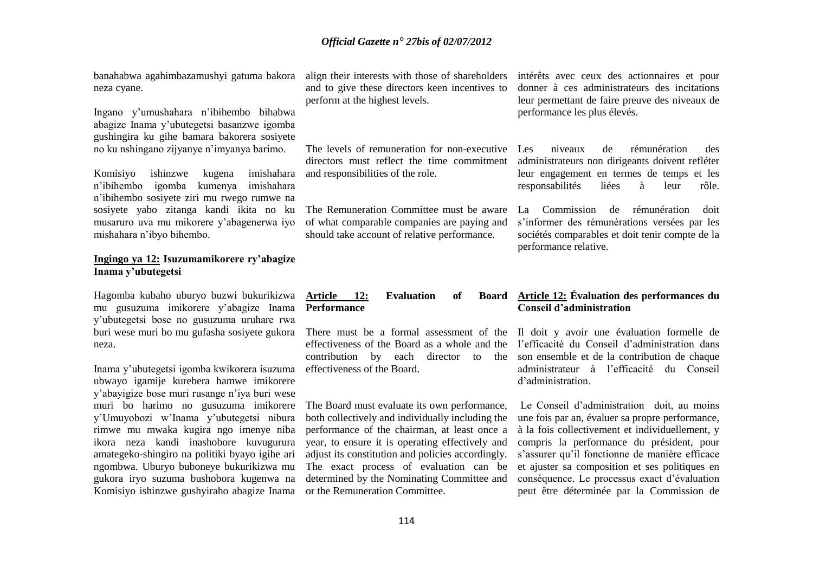banahabwa agahimbazamushyi gatuma bakora neza cyane.

Ingano y"umushahara n"ibihembo bihabwa abagize Inama y"ubutegetsi basanzwe igomba gushingira ku gihe bamara bakorera sosiyete no ku nshingano zijyanye n"imyanya barimo.

Komisiyo ishinzwe kugena imishahara n"ibihembo igomba kumenya imishahara n"ibihembo sosiyete ziri mu rwego rumwe na sosiyete yabo zitanga kandi ikita no ku musaruro uva mu mikorere y"abagenerwa iyo mishahara n"ibyo bihembo.

#### **Ingingo ya 12: Isuzumamikorere ry'abagize Inama y'ubutegetsi**

Hagomba kubaho uburyo buzwi bukurikizwa mu gusuzuma imikorere y"abagize Inama y"ubutegetsi bose no gusuzuma uruhare rwa buri wese muri bo mu gufasha sosiyete gukora neza.

Inama y"ubutegetsi igomba kwikorera isuzuma ubwayo igamije kurebera hamwe imikorere y"abayigize bose muri rusange n"iya buri wese muri bo harimo no gusuzuma imikorere y"Umuyobozi w"Inama y"ubutegetsi nibura rimwe mu mwaka kugira ngo imenye niba ikora neza kandi inashobore kuvugurura amategeko-shingiro na politiki byayo igihe ari ngombwa. Uburyo buboneye bukurikizwa mu gukora iryo suzuma bushobora kugenwa na Komisiyo ishinzwe gushyiraho abagize Inama

align their interests with those of shareholders and to give these directors keen incentives to perform at the highest levels.

The levels of remuneration for non-executive Les directors must reflect the time commitment and responsibilities of the role.

The Remuneration Committee must be aware of what comparable companies are paying and should take account of relative performance.

intérêts avec ceux des actionnaires et pour donner à ces administrateurs des incitations leur permettant de faire preuve des niveaux de performance les plus élevés.

niveaux de rémunération des administrateurs non dirigeants doivent refléter leur engagement en termes de temps et les responsabilités liées à leur rôle.

La Commission de rémunération doit s'informer des rémunérations versées par les sociétés comparables et doit tenir compte de la performance relative.

# **Article 12: Evaluation of Board Performance**

effectiveness of the Board.

The Board must evaluate its own performance, both collectively and individually including the performance of the chairman, at least once a year, to ensure it is operating effectively and adjust its constitution and policies accordingly. The exact process of evaluation can be determined by the Nominating Committee and or the Remuneration Committee.

# **Article 12: Évaluation des performances du Conseil d'administration**

There must be a formal assessment of the Il doit y avoir une évaluation formelle de effectiveness of the Board as a whole and the l"efficacité du Conseil d"administration dans contribution by each director to the son ensemble et de la contribution de chaque administrateur à l"efficacité du Conseil d"administration.

> Le Conseil d"administration doit, au moins une fois par an, évaluer sa propre performance, à la fois collectivement et individuellement, y compris la performance du président, pour s'assurer qu'il fonctionne de manière efficace et ajuster sa composition et ses politiques en conséquence. Le processus exact d"évaluation peut être déterminée par la Commission de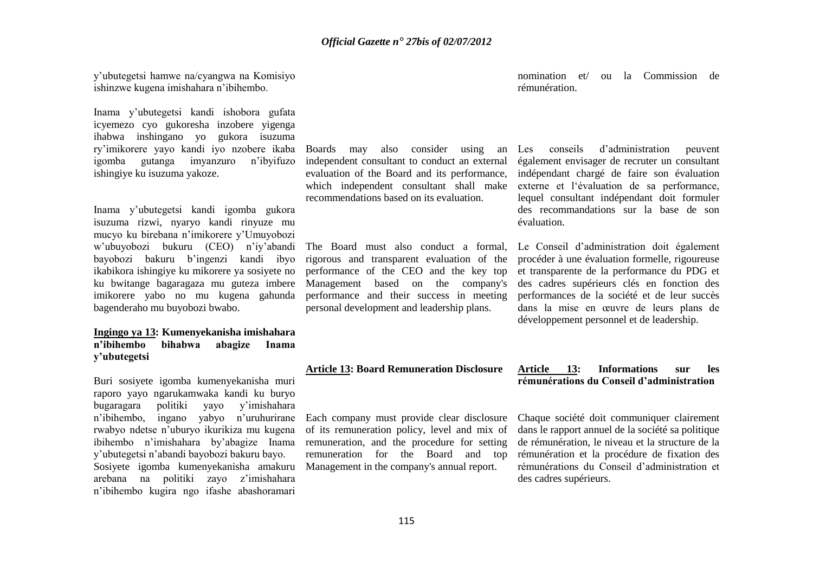y"ubutegetsi hamwe na/cyangwa na Komisiyo ishinzwe kugena imishahara n"ibihembo.

Inama y"ubutegetsi kandi ishobora gufata icyemezo cyo gukoresha inzobere yigenga ihabwa inshingano yo gukora isuzuma ry"imikorere yayo kandi iyo nzobere ikaba igomba gutanga imyanzuro n"ibyifuzo ishingiye ku isuzuma yakoze.

Inama y"ubutegetsi kandi igomba gukora isuzuma rizwi, nyaryo kandi rinyuze mu mucyo ku birebana n"imikorere y"Umuyobozi w"ubuyobozi bukuru (CEO) n"iy"abandi bayobozi bakuru b"ingenzi kandi ibyo ikabikora ishingiye ku mikorere ya sosiyete no ku bwitange bagaragaza mu guteza imbere imikorere yabo no mu kugena gahunda bagenderaho mu buyobozi bwabo.

## **Ingingo ya 13: Kumenyekanisha imishahara n'ibihembo bihabwa abagize Inama y'ubutegetsi**

Buri sosiyete igomba kumenyekanisha muri raporo yayo ngarukamwaka kandi ku buryo bugaragara politiki yayo y"imishahara n"ibihembo, ingano yabyo n"uruhurirane Each company must provide clear disclosure rwabyo ndetse n"uburyo ikurikiza mu kugena ibihembo n"imishahara by"abagize Inama y"ubutegetsi n"abandi bayobozi bakuru bayo. Sosiyete igomba kumenyekanisha amakuru Management in the company's annual report. arebana na politiki zayo z"imishahara n"ibihembo kugira ngo ifashe abashoramari

Boards may also consider using an independent consultant to conduct an external evaluation of the Board and its performance, which independent consultant shall make recommendations based on its evaluation.

The Board must also conduct a formal, rigorous and transparent evaluation of the performance of the CEO and the key top Management based on the company's performance and their success in meeting personal development and leadership plans.

#### **Article 13: Board Remuneration Disclosure**

of its remuneration policy, level and mix of remuneration, and the procedure for setting remuneration for the Board and top nomination et/ ou la Commission de rémunération.

Les conseils d"administration peuvent également envisager de recruter un consultant indépendant chargé de faire son évaluation externe et l"évaluation de sa performance, lequel consultant indépendant doit formuler des recommandations sur la base de son évaluation.

Le Conseil d"administration doit également procéder à une évaluation formelle, rigoureuse et transparente de la performance du PDG et des cadres supérieurs clés en fonction des performances de la société et de leur succès dans la mise en œuvre de leurs plans de développement personnel et de leadership.

#### **Article 13: Informations sur les rémunérations du Conseil d'administration**

Chaque société doit communiquer clairement dans le rapport annuel de la société sa politique de rémunération, le niveau et la structure de la rémunération et la procédure de fixation des rémunérations du Conseil d"administration et des cadres supérieurs.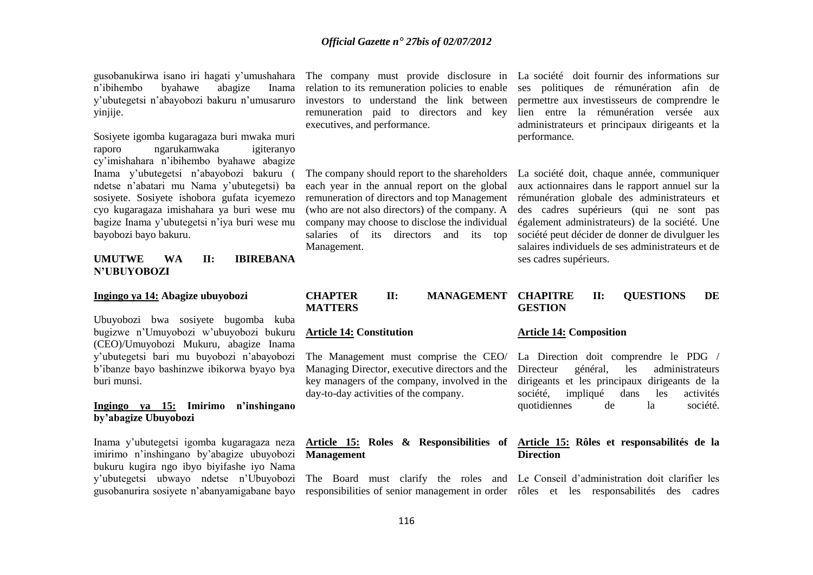gusobanukirwa isano iri hagati y"umushahara The company must provide disclosure in La société doit fournir des informations sur n"ibihembo byahawe abagize Inama y"ubutegetsi n"abayobozi bakuru n"umusaruro yinjije.

Sosiyete igomba kugaragaza buri mwaka muri raporo ngarukamwaka igiteranyo cy"imishahara n"ibihembo byahawe abagize Inama y"ubutegetsi n"abayobozi bakuru ( ndetse n"abatari mu Nama y"ubutegetsi) ba sosiyete. Sosiyete ishobora gufata icyemezo cyo kugaragaza imishahara ya buri wese mu bagize Inama y"ubutegetsi n"iya buri wese mu bayobozi bayo bakuru.

#### **UMUTWE WA II: IBIREBANA N'UBUYOBOZI**

#### **Ingingo ya 14: Abagize ubuyobozi**

Ubuyobozi bwa sosiyete bugomba kuba bugizwe n"Umuyobozi w"ubuyobozi bukuru (CEO)/Umuyobozi Mukuru, abagize Inama y"ubutegetsi bari mu buyobozi n"abayobozi b"ibanze bayo bashinzwe ibikorwa byayo bya buri munsi.

#### **Ingingo ya 15: Imirimo n'inshingano by'abagize Ubuyobozi**

Inama y"ubutegetsi igomba kugaragaza neza imirimo n"inshingano by"abagize ubuyobozi bukuru kugira ngo ibyo biyifashe iyo Nama y"ubutegetsi ubwayo ndetse n"Ubuyobozi

relation to its remuneration policies to enable investors to understand the link between remuneration paid to directors and key executives, and performance.

The company should report to the shareholders each year in the annual report on the global remuneration of directors and top Management (who are not also directors) of the company. A company may choose to disclose the individual salaries of its directors and its top Management.

ses politiques de rémunération afin de permettre aux investisseurs de comprendre le lien entre la rémunération versée aux administrateurs et principaux dirigeants et la performance.

La société doit, chaque année, communiquer aux actionnaires dans le rapport annuel sur la rémunération globale des administrateurs et des cadres supérieurs (qui ne sont pas également administrateurs) de la société. Une société peut décider de donner de divulguer les salaires individuels de ses administrateurs et de ses cadres supérieurs.

#### **CHAPTER II: MANAGEMENT CHAPITRE MATTERS II: QUESTIONS DE GESTION**

#### **Article 14: Constitution**

Managing Director, executive directors and the Directeur key managers of the company, involved in the day-to-day activities of the company.

**Article 15: Roles & Responsibilities of Article 15: Rôles et responsabilités de la Management**

#### **Article 14: Composition**

The Management must comprise the CEO/ La Direction doit comprendre le PDG / général, les administrateurs dirigeants et les principaux dirigeants de la société, impliqué dans les activités quotidiennes de la société.

# **Direction**

gusobanurira sosiyete n'abanyamigabane bayo responsibilities of senior management in order rôles et les responsabilités des cadres The Board must clarify the roles and Le Conseil d"administration doit clarifier les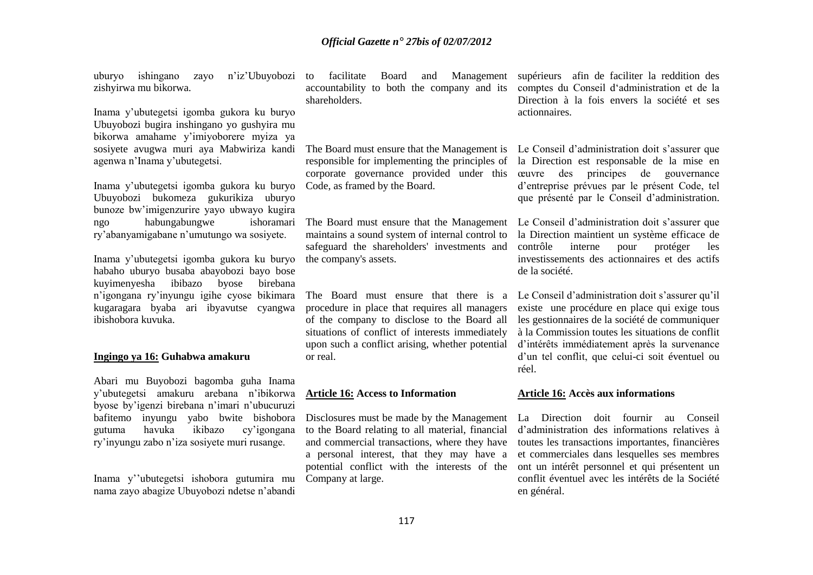uburyo ishingano zayo n"iz"Ubuyobozi zishyirwa mu bikorwa.

Inama y"ubutegetsi igomba gukora ku buryo Ubuyobozi bugira inshingano yo gushyira mu bikorwa amahame y"imiyoborere myiza ya sosiyete avugwa muri aya Mabwiriza kandi agenwa n"Inama y"ubutegetsi.

Inama y"ubutegetsi igomba gukora ku buryo Ubuyobozi bukomeza gukurikiza uburyo bunoze bw"imigenzurire yayo ubwayo kugira ngo habungabungwe ishoramari ry"abanyamigabane n"umutungo wa sosiyete.

Inama y"ubutegetsi igomba gukora ku buryo habaho uburyo busaba abayobozi bayo bose kuyimenyesha ibibazo byose birebana n"igongana ry"inyungu igihe cyose bikimara kugaragara byaba ari ibyavutse cyangwa ibishobora kuvuka.

#### **Ingingo ya 16: Guhabwa amakuru**

Abari mu Buyobozi bagomba guha Inama y"ubutegetsi amakuru arebana n"ibikorwa byose by"igenzi birebana n"imari n"ubucuruzi bafitemo inyungu yabo bwite bishobora gutuma havuka ikibazo cy"igongana ry"inyungu zabo n"iza sosiyete muri rusange.

Inama y""ubutegetsi ishobora gutumira mu nama zayo abagize Ubuyobozi ndetse n"abandi

accountability to both the company and its shareholders.

# responsible for implementing the principles of la Direction est responsable de la mise en corporate governance provided under this œuvre des principes de gouvernance Code, as framed by the Board.

The Board must ensure that the Management Le Conseil d"administration doit s"assurer que maintains a sound system of internal control to safeguard the shareholders' investments and the company's assets.

The Board must ensure that there is a Le Conseil d'administration doit s'assurer qu'il procedure in place that requires all managers of the company to disclose to the Board all situations of conflict of interests immediately upon such a conflict arising, whether potential or real.

#### **Article 16: Access to Information**

Disclosures must be made by the Management La Direction doit fournir au Conseil to the Board relating to all material, financial and commercial transactions, where they have a personal interest, that they may have a potential conflict with the interests of the Company at large.

to facilitate Board and Management supérieurs afin de faciliter la reddition des comptes du Conseil d"administration et de la Direction à la fois envers la société et ses actionnaires.

The Board must ensure that the Management is Le Conseil d"administration doit s"assurer que d"entreprise prévues par le présent Code, tel que présenté par le Conseil d"administration.

> la Direction maintient un système efficace de contrôle interne pour protéger les investissements des actionnaires et des actifs de la société.

> existe une procédure en place qui exige tous les gestionnaires de la société de communiquer à la Commission toutes les situations de conflit d"intérêts immédiatement après la survenance d"un tel conflit, que celui-ci soit éventuel ou réel.

#### **Article 16: Accès aux informations**

d"administration des informations relatives à toutes les transactions importantes, financières et commerciales dans lesquelles ses membres ont un intérêt personnel et qui présentent un conflit éventuel avec les intérêts de la Société en général.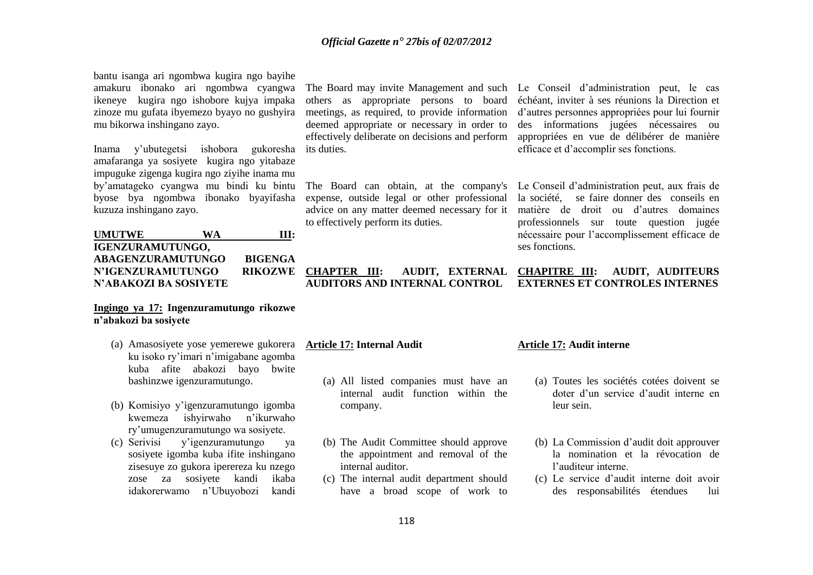bantu isanga ari ngombwa kugira ngo bayihe amakuru ibonako ari ngombwa cyangwa The Board may invite Management and such Le Conseil d"administration peut, le cas ikeneye kugira ngo ishobore kujya impaka zinoze mu gufata ibyemezo byayo no gushyira mu bikorwa inshingano zayo.

Inama y"ubutegetsi ishobora gukoresha its duties. amafaranga ya sosiyete kugira ngo yitabaze impuguke zigenga kugira ngo ziyihe inama mu by"amatageko cyangwa mu bindi ku bintu byose bya ngombwa ibonako byayifasha kuzuza inshingano zayo.

**UMUTWE WA III: IGENZURAMUTUNGO, ABAGENZURAMUTUNGO BIGENGA N'IGENZURAMUTUNGO RIKOZWE N'ABAKOZI BA SOSIYETE**

# **Ingingo ya 17: Ingenzuramutungo rikozwe n'abakozi ba sosiyete**

- (a) Amasosiyete yose yemerewe gukorera **Article 17: Internal Audit** ku isoko ry"imari n"imigabane agomba kuba afite abakozi bayo bwite bashinzwe igenzuramutungo.
- (b) Komisiyo y"igenzuramutungo igomba kwemeza ishyirwaho n"ikurwaho ry"umugenzuramutungo wa sosiyete.
- (c) Serivisi y"igenzuramutungo ya sosiyete igomba kuba ifite inshingano zisesuye zo gukora iperereza ku nzego zose za sosiyete kandi ikaba idakorerwamo n"Ubuyobozi kandi

others as appropriate persons to board échéant, inviter à ses réunions la Direction et meetings, as required, to provide information deemed appropriate or necessary in order to effectively deliberate on decisions and perform

expense, outside legal or other professional advice on any matter deemed necessary for it to effectively perform its duties.

d"autres personnes appropriées pour lui fournir des informations jugées nécessaires ou appropriées en vue de délibérer de manière efficace et d"accomplir ses fonctions.

The Board can obtain, at the company's Le Conseil d"administration peut, aux frais de la société, se faire donner des conseils en matière de droit ou d"autres domaines professionnels sur toute question jugée nécessaire pour l"accomplissement efficace de ses fonctions.

# **AUDIT, EXTERNAL AUDITORS AND INTERNAL CONTROL EXTERNES ET CONTROLES INTERNES**

(a) All listed companies must have an internal audit function within the

(b) The Audit Committee should approve the appointment and removal of the

(c) The internal audit department should have a broad scope of work to

company.

internal auditor.

# **CHAPITRE III: AUDIT, AUDITEURS**

# **Article 17: Audit interne**

- (a) Toutes les sociétés cotées doivent se doter d"un service d"audit interne en leur sein.
- (b) La Commission d"audit doit approuver la nomination et la révocation de l"auditeur interne.
- (c) Le service d"audit interne doit avoir des responsabilités étendues lui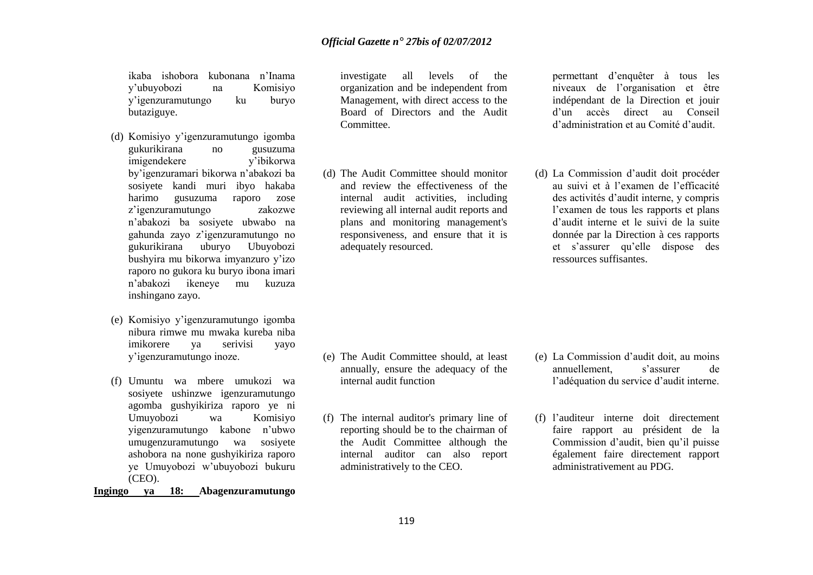ikaba ishobora kubonana n"Inama y"ubuyobozi na Komisiyo y"igenzuramutungo ku buryo butaziguye.

- (d) Komisiyo y"igenzuramutungo igomba gukurikirana no gusuzuma imigendekere by"igenzuramari bikorwa n"abakozi ba sosiyete kandi muri ibyo hakaba harimo gusuzuma raporo zose z"igenzuramutungo zakozwe n"abakozi ba sosiyete ubwabo na gahunda zayo z"igenzuramutungo no gukurikirana uburyo Ubuyobozi bushyira mu bikorwa imyanzuro y"izo raporo no gukora ku buryo ibona imari n"abakozi ikeneye mu kuzuza inshingano zayo.
- (e) Komisiyo y"igenzuramutungo igomba nibura rimwe mu mwaka kureba niba imikorere ya serivisi yayo y"igenzuramutungo inoze.
- (f) Umuntu wa mbere umukozi wa sosiyete ushinzwe igenzuramutungo agomba gushyikiriza raporo ye ni Umuyobozi wa Komisiyo yigenzuramutungo kabone n"ubwo umugenzuramutungo wa sosiyete ashobora na none gushyikiriza raporo ye Umuyobozi w"ubuyobozi bukuru (CEO).

**Ingingo ya 18: Abagenzuramutungo** 

investigate all levels of the organization and be independent from Management, with direct access to the Board of Directors and the Audit **Committee** 

(d) The Audit Committee should monitor and review the effectiveness of the internal audit activities, including reviewing all internal audit reports and plans and monitoring management's responsiveness, and ensure that it is adequately resourced.

permettant d"enquêter à tous les niveaux de l"organisation et être indépendant de la Direction et jouir d"un accès direct au Conseil d"administration et au Comité d"audit.

(d) La Commission d"audit doit procéder au suivi et à l"examen de l"efficacité des activités d"audit interne, y compris l"examen de tous les rapports et plans d"audit interne et le suivi de la suite donnée par la Direction à ces rapports et s"assurer qu"elle dispose des ressources suffisantes.

- (e) The Audit Committee should, at least annually, ensure the adequacy of the internal audit function
- (f) The internal auditor's primary line of reporting should be to the chairman of the Audit Committee although the internal auditor can also report administratively to the CEO.
- (e) La Commission d"audit doit, au moins annuellement, s"assurer de l"adéquation du service d"audit interne.
- (f) l"auditeur interne doit directement faire rapport au président de la Commission d"audit, bien qu"il puisse également faire directement rapport administrativement au PDG.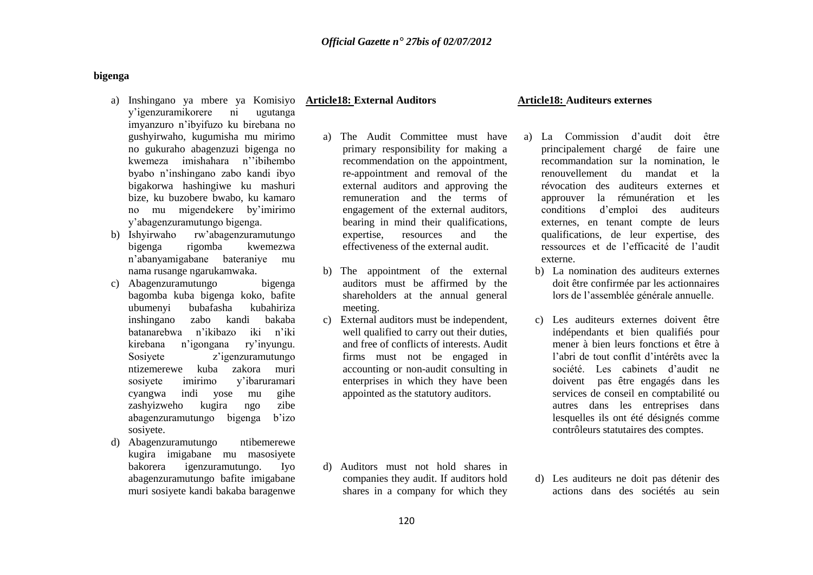#### **bigenga**

- a) Inshingano ya mbere ya Komisiyo **Article18: External Auditors** y"igenzuramikorere ni ugutanga imyanzuro n"ibyifuzo ku birebana no gushyirwaho, kugumisha mu mirimo no gukuraho abagenzuzi bigenga no kwemeza imishahara n""ibihembo byabo n"inshingano zabo kandi ibyo bigakorwa hashingiwe ku mashuri bize, ku buzobere bwabo, ku kamaro no mu migendekere by"imirimo y"abagenzuramutungo bigenga.
- b) Ishyirwaho rw"abagenzuramutungo bigenga rigomba kwemezwa n"abanyamigabane bateraniye mu nama rusange ngarukamwaka.
- c) Abagenzuramutungo bigenga bagomba kuba bigenga koko, bafite ubumenyi bubafasha kubahiriza inshingano zabo kandi bakaba batanarebwa n"ikibazo iki n"iki kirebana n"igongana ry"inyungu. Sosiyete z'igenzuramutungo ntizemerewe kuba zakora muri sosiyete imirimo y"ibaruramari cyangwa indi yose mu gihe zashyizweho kugira ngo zibe abagenzuramutungo bigenga b"izo sosiyete.
- d) Abagenzuramutungo ntibemerewe kugira imigabane mu masosiyete bakorera igenzuramutungo. Iyo abagenzuramutungo bafite imigabane muri sosiyete kandi bakaba baragenwe

- a) The Audit Committee must have primary responsibility for making a recommendation on the appointment, re-appointment and removal of the external auditors and approving the remuneration and the terms of engagement of the external auditors, bearing in mind their qualifications, expertise, resources and the effectiveness of the external audit.
- b) The appointment of the external auditors must be affirmed by the shareholders at the annual general meeting.
- c) External auditors must be independent, well qualified to carry out their duties, and free of conflicts of interests. Audit firms must not be engaged in accounting or non-audit consulting in enterprises in which they have been appointed as the statutory auditors.

d) Auditors must not hold shares in companies they audit. If auditors hold shares in a company for which they

#### **Article18: Auditeurs externes**

- a) La Commission d"audit doit être principalement chargé de faire une recommandation sur la nomination, le renouvellement du mandat et la révocation des auditeurs externes et approuver la rémunération et les conditions d"emploi des auditeurs externes, en tenant compte de leurs qualifications, de leur expertise, des ressources et de l"efficacité de l"audit externe.
	- b) La nomination des auditeurs externes doit être confirmée par les actionnaires lors de l"assemblée générale annuelle.
	- c) Les auditeurs externes doivent être indépendants et bien qualifiés pour mener à bien leurs fonctions et être à l"abri de tout conflit d"intérêts avec la société. Les cabinets d"audit ne doivent pas être engagés dans les services de conseil en comptabilité ou autres dans les entreprises dans lesquelles ils ont été désignés comme contrôleurs statutaires des comptes.
- d) Les auditeurs ne doit pas détenir des actions dans des sociétés au sein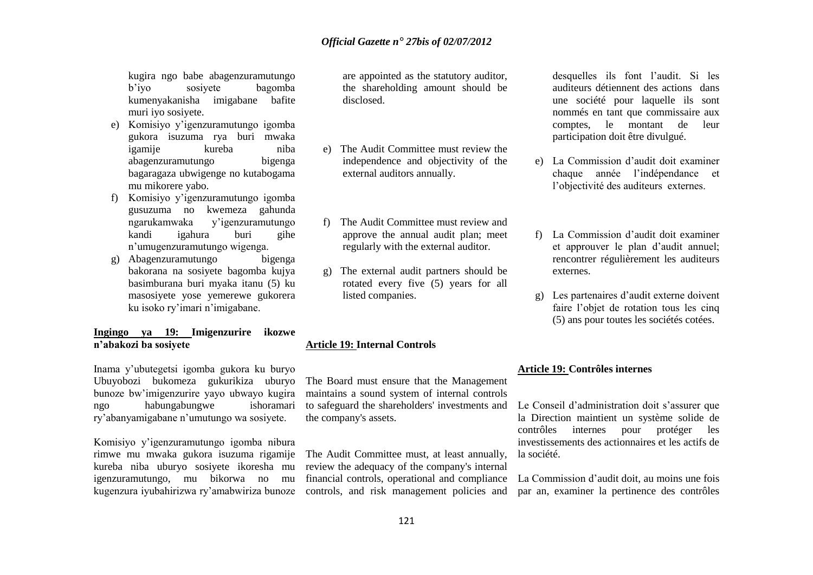kugira ngo babe abagenzuramutungo b"iyo sosiyete bagomba kumenyakanisha imigabane bafite muri iyo sosiyete.

- e) Komisiyo y"igenzuramutungo igomba gukora isuzuma rya buri mwaka igamije kureba niba abagenzuramutungo bigenga bagaragaza ubwigenge no kutabogama mu mikorere yabo.
- f) Komisiyo y"igenzuramutungo igomba gusuzuma no kwemeza gahunda ngarukamwaka y"igenzuramutungo kandi igahura buri gihe n"umugenzuramutungo wigenga.
- g) Abagenzuramutungo bigenga bakorana na sosiyete bagomba kujya basimburana buri myaka itanu (5) ku masosiyete yose yemerewe gukorera ku isoko ry"imari n"imigabane.

# **Ingingo ya 19: Imigenzurire ikozwe n'abakozi ba sosiyete**

Inama y"ubutegetsi igomba gukora ku buryo Ubuyobozi bukomeza gukurikiza uburyo bunoze bw"imigenzurire yayo ubwayo kugira ngo habungabungwe ishoramari ry"abanyamigabane n"umutungo wa sosiyete.

Komisiyo y"igenzuramutungo igomba nibura rimwe mu mwaka gukora isuzuma rigamije kureba niba uburyo sosiyete ikoresha mu igenzuramutungo, mu bikorwa no mu kugenzura iyubahirizwa ry"amabwiriza bunoze are appointed as the statutory auditor, the shareholding amount should be disclosed.

- e) The Audit Committee must review the independence and objectivity of the external auditors annually.
- f) The Audit Committee must review and approve the annual audit plan; meet regularly with the external auditor.
- g) The external audit partners should be rotated every five (5) years for all listed companies.

#### **Article 19: Internal Controls**

The Board must ensure that the Management maintains a sound system of internal controls to safeguard the shareholders' investments and the company's assets.

The Audit Committee must, at least annually, review the adequacy of the company's internal financial controls, operational and compliance controls, and risk management policies and desquelles ils font l"audit. Si les auditeurs détiennent des actions dans une société pour laquelle ils sont nommés en tant que commissaire aux comptes, le montant de leur participation doit être divulgué.

- e) La Commission d"audit doit examiner chaque année l"indépendance et l"objectivité des auditeurs externes.
- f) La Commission d"audit doit examiner et approuver le plan d"audit annuel; rencontrer régulièrement les auditeurs externes.
- g) Les partenaires d"audit externe doivent faire l"objet de rotation tous les cinq (5) ans pour toutes les sociétés cotées.

#### **Article 19: Contrôles internes**

Le Conseil d'administration doit s'assurer que la Direction maintient un système solide de contrôles internes pour protéger les investissements des actionnaires et les actifs de la société.

La Commission d"audit doit, au moins une fois par an, examiner la pertinence des contrôles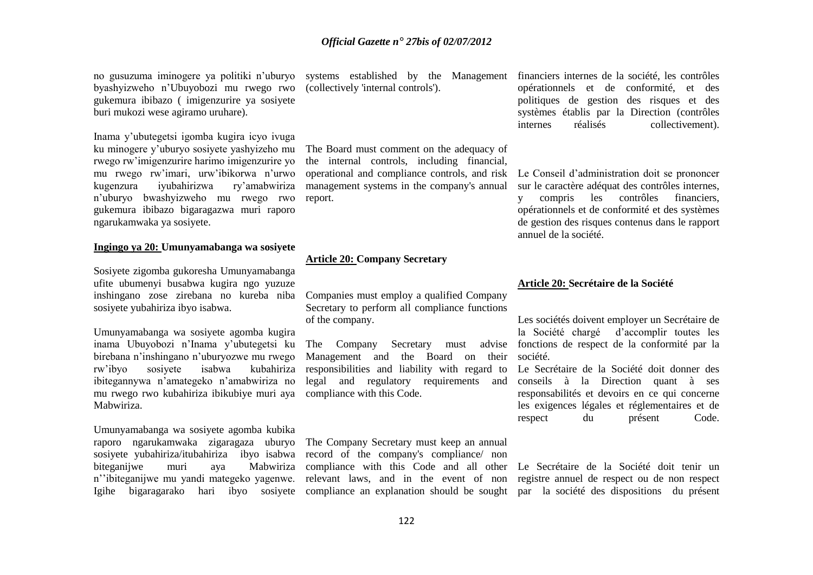byashyizweho n"Ubuyobozi mu rwego rwo (collectively 'internal controls'). gukemura ibibazo ( imigenzurire ya sosiyete buri mukozi wese agiramo uruhare).

Inama y"ubutegetsi igomba kugira icyo ivuga ku minogere y"uburyo sosiyete yashyizeho mu rwego rw"imigenzurire harimo imigenzurire yo mu rwego rw"imari, urw"ibikorwa n"urwo kugenzura iyubahirizwa ry"amabwiriza n"uburyo bwashyizweho mu rwego rwo report. gukemura ibibazo bigaragazwa muri raporo ngarukamwaka ya sosiyete.

### **Ingingo ya 20: Umunyamabanga wa sosiyete**

Sosiyete zigomba gukoresha Umunyamabanga ufite ubumenyi busabwa kugira ngo yuzuze inshingano zose zirebana no kureba niba sosiyete yubahiriza ibyo isabwa.

Umunyamabanga wa sosiyete agomba kugira inama Ubuyobozi n"Inama y"ubutegetsi ku birebana n"inshingano n"uburyozwe mu rwego rw"ibyo sosiyete isabwa kubahiriza responsibilities and liability with regard to ibitegannywa n"amategeko n"amabwiriza no mu rwego rwo kubahiriza ibikubiye muri aya compliance with this Code. Mabwiriza.

Umunyamabanga wa sosiyete agomba kubika biteganijwe muri aya

The Board must comment on the adequacy of the internal controls, including financial, operational and compliance controls, and risk Le Conseil d"administration doit se prononcer management systems in the company's annual

#### **Article 20: Company Secretary**

Companies must employ a qualified Company Secretary to perform all compliance functions of the company.

Management and the Board on their société. legal and regulatory requirements and

raporo ngarukamwaka zigaragaza uburyo The Company Secretary must keep an annual sosiyete yubahiriza/itubahiriza ibyo isabwa record of the company's compliance/ non n''ibiteganijwe mu yandi mategeko yagenwe. relevant laws, and in the event of non registre annuel de respect ou de non respect compliance with this Code and all other Le Secrétaire de la Société doit tenir un

no gusuzuma iminogere ya politiki n"uburyo systems established by the Management financiers internes de la société, les contrôles opérationnels et de conformité, et des politiques de gestion des risques et des systèmes établis par la Direction (contrôles internes réalisés collectivement).

> sur le caractère adéquat des contrôles internes, y compris les contrôles financiers, opérationnels et de conformité et des systèmes de gestion des risques contenus dans le rapport annuel de la société.

#### **Article 20: Secrétaire de la Société**

The Company Secretary must advise fonctions de respect de la conformité par la Les sociétés doivent employer un Secrétaire de la Société chargé d"accomplir toutes les

> Le Secrétaire de la Société doit donner des conseils à la Direction quant à ses responsabilités et devoirs en ce qui concerne les exigences légales et réglementaires et de respect du présent Code.

Igihe bigaragarako hari ibyo sosiyete compliance an explanation should be sought par la société des dispositions du présent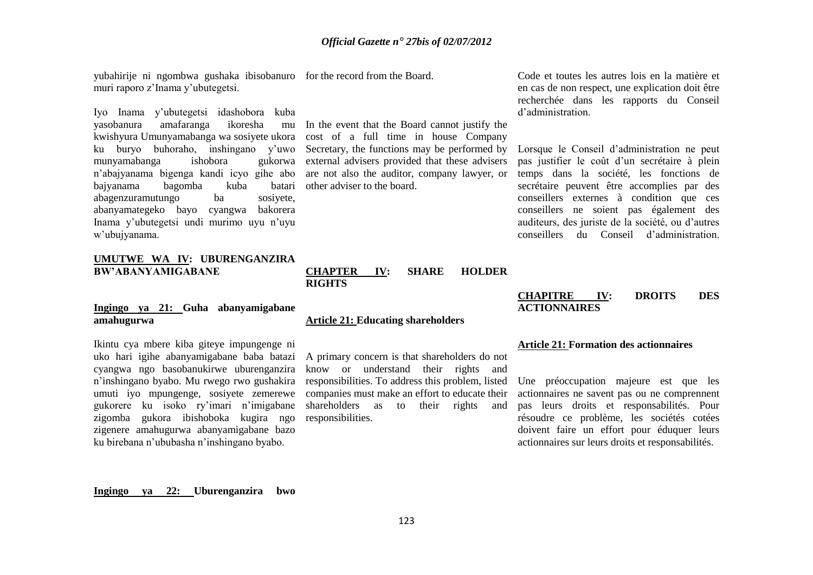yubahirije ni ngombwa gushaka ibisobanuro for the record from the Board. muri raporo z"Inama y"ubutegetsi.

Iyo Inama y"ubutegetsi idashobora kuba yasobanura amafaranga ikoresha mu munyamabanga ishobora n"abajyanama bigenga kandi icyo gihe abo baiyanama bagomba kuba abagenzuramutungo ba sosiyete, abanyamategeko bayo cyangwa bakorera Inama y"ubutegetsi undi murimo uyu n"uyu w"ubujyanama.

#### **UMUTWE WA IV: UBURENGANZIRA BW'ABANYAMIGABANE**

#### **Ingingo ya 21: Guha abanyamigabane amahugurwa**

Ikintu cya mbere kiba giteye impungenge ni uko hari igihe abanyamigabane baba batazi cyangwa ngo basobanukirwe uburenganzira n"inshingano byabo. Mu rwego rwo gushakira umuti iyo mpungenge, sosiyete zemerewe gukorere ku isoko ry"imari n"imigabane zigomba gukora ibishoboka kugira ngo zigenere amahugurwa abanyamigabane bazo ku birebana n"ububasha n"inshingano byabo.

kwishyura Umunyamabanga wa sosiyete ukora cost of a full time in house Company ku buryo buhoraho, inshingano y"uwo Secretary, the functions may be performed by mu In the event that the Board cannot justify the external advisers provided that these advisers are not also the auditor, company lawyer, or hatari other adviser to the board.

# **CHAPTER IV: SHARE HOLDER RIGHTS**

**Article 21: Educating shareholders** 

A primary concern is that shareholders do not know or understand their rights and responsibilities. To address this problem, listed companies must make an effort to educate their shareholders as to their rights and responsibilities.

Code et toutes les autres lois en la matière et en cas de non respect, une explication doit être recherchée dans les rapports du Conseil d"administration.

# Lorsque le Conseil d'administration ne peut pas justifier le coût d"un secrétaire à plein temps dans la société, les fonctions de secrétaire peuvent être accomplies par des conseillers externes à condition que ces conseillers ne soient pas également des auditeurs, des juriste de la société, ou d"autres conseillers du Conseil d"administration.

# **CHAPITRE IV: DROITS DES ACTIONNAIRES**

#### **Article 21: Formation des actionnaires**

Une préoccupation majeure est que les actionnaires ne savent pas ou ne comprennent pas leurs droits et responsabilités. Pour résoudre ce problème, les sociétés cotées doivent faire un effort pour éduquer leurs actionnaires sur leurs droits et responsabilités.

**Ingingo ya 22: Uburenganzira bwo**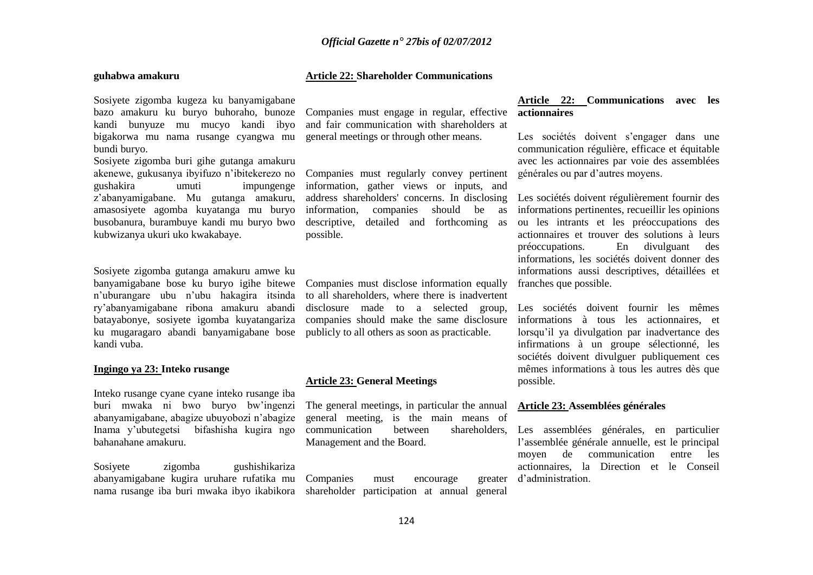#### **guhabwa amakuru**

#### **Article 22: Shareholder Communications**

Sosiyete zigomba kugeza ku banyamigabane bazo amakuru ku buryo buhoraho, bunoze kandi bunyuze mu mucyo kandi ibyo bigakorwa mu nama rusange cyangwa mu general meetings or through other means. bundi buryo.

Sosiyete zigomba buri gihe gutanga amakuru akenewe, gukusanya ibyifuzo n"ibitekerezo no gushakira umuti impungenge z"abanyamigabane. Mu gutanga amakuru, amasosiyete agomba kuyatanga mu buryo busobanura, burambuye kandi mu buryo bwo kubwizanya ukuri uko kwakabaye.

Sosiyete zigomba gutanga amakuru amwe ku n"uburangare ubu n"ubu hakagira itsinda ry"abanyamigabane ribona amakuru abandi batayabonye, sosiyete igomba kuyatangariza ku mugaragaro abandi banyamigabane bose publicly to all others as soon as practicable. kandi vuba.

#### **Ingingo ya 23: Inteko rusange**

Inteko rusange cyane cyane inteko rusange iba buri mwaka ni bwo buryo bw"ingenzi abanyamigabane, abagize ubuyobozi n"abagize Inama y"ubutegetsi bifashisha kugira ngo bahanahane amakuru.

Sosiyete zigomba gushishikariza abanyamigabane kugira uruhare rufatika mu Companies must encourage greater nama rusange iba buri mwaka ibyo ikabikora shareholder participation at annual general

Companies must engage in regular, effective and fair communication with shareholders at

Companies must regularly convey pertinent information, gather views or inputs, and address shareholders' concerns. In disclosing information, companies should be as descriptive, detailed and forthcoming as possible.

# banyamigabane bose ku buryo igihe bitewe Companies must disclose information equally to all shareholders, where there is inadvertent disclosure made to a selected group, companies should make the same disclosure

#### **Article 23: General Meetings**

The general meetings, in particular the annual general meeting, is the main means of communication between Management and the Board.

#### **Article 22: Communications avec les actionnaires**

Les sociétés doivent s'engager dans une communication régulière, efficace et équitable avec les actionnaires par voie des assemblées générales ou par d"autres moyens.

Les sociétés doivent régulièrement fournir des informations pertinentes, recueillir les opinions ou les intrants et les préoccupations des actionnaires et trouver des solutions à leurs préoccupations. En divulguant des informations, les sociétés doivent donner des informations aussi descriptives, détaillées et franches que possible.

Les sociétés doivent fournir les mêmes informations à tous les actionnaires, et lorsqu"il ya divulgation par inadvertance des infirmations à un groupe sélectionné, les sociétés doivent divulguer publiquement ces mêmes informations à tous les autres dès que possible.

#### **Article 23: Assemblées générales**

Les assemblées générales, en particulier l"assemblée générale annuelle, est le principal moyen de communication entre les actionnaires, la Direction et le Conseil d"administration.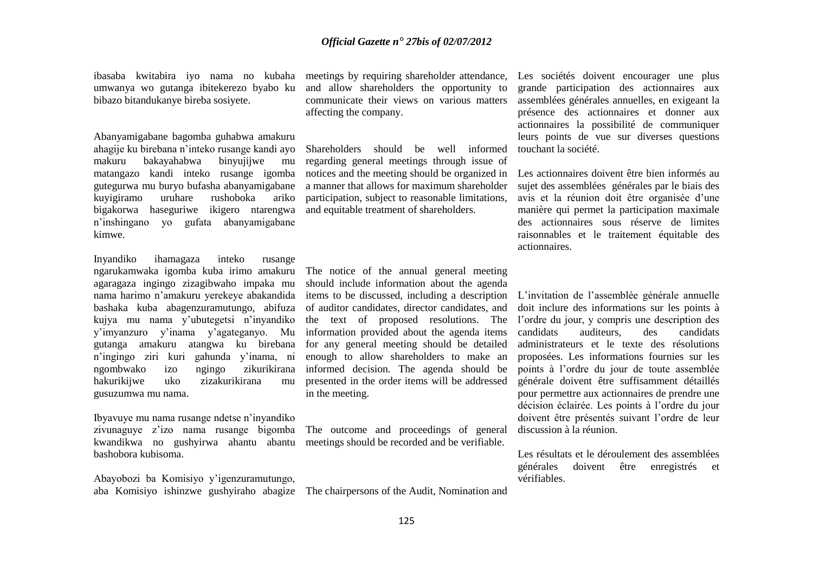ibasaba kwitabira iyo nama no kubaha meetings by requiring shareholder attendance, umwanya wo gutanga ibitekerezo byabo ku bibazo bitandukanye bireba sosiyete.

Abanyamigabane bagomba guhabwa amakuru ahagije ku birebana n'inteko rusange kandi ayo<br>makuru bakavahabwa binyuiiiwe mu makuru bakayahabwa binyujijwe mu matangazo kandi inteko rusange igomba gutegurwa mu buryo bufasha abanyamigabane kuyigiramo uruhare rushoboka ariko bigakorwa haseguriwe ikigero ntarengwa and equitable treatment of shareholders. n"inshingano yo gufata abanyamigabane kimwe.

Inyandiko ihamagaza inteko rusange ngarukamwaka igomba kuba irimo amakuru agaragaza ingingo zizagibwaho impaka mu nama harimo n"amakuru yerekeye abakandida bashaka kuba abagenzuramutungo, abifuza kujya mu nama y"ubutegetsi n"inyandiko y"imyanzuro y"inama y"agateganyo. Mu gutanga amakuru atangwa ku birebana n"ingingo ziri kuri gahunda y"inama, ni ngombwako izo ngingo zikurikirana hakurikijwe uko zizakurikirana mu gusuzumwa mu nama.

Ibyavuye mu nama rusange ndetse n"inyandiko zivunaguye z'izo nama rusange bigomba The outcome and proceedings of general kwandikwa no gushyirwa ahantu abantu meetings should be recorded and be verifiable. bashobora kubisoma.

Abayobozi ba Komisiyo y"igenzuramutungo, aba Komisiyo ishinzwe gushyiraho abagize The chairpersons of the Audit, Nomination and

and allow shareholders the opportunity to communicate their views on various matters affecting the company.

Shareholders should be well informed regarding general meetings through issue of notices and the meeting should be organized in a manner that allows for maximum shareholder participation, subject to reasonable limitations,

# The notice of the annual general meeting should include information about the agenda items to be discussed, including a description of auditor candidates, director candidates, and the text of proposed resolutions. The information provided about the agenda items for any general meeting should be detailed enough to allow shareholders to make an informed decision. The agenda should be

in the meeting.

presented in the order items will be addressed

Les sociétés doivent encourager une plus grande participation des actionnaires aux assemblées générales annuelles, en exigeant la présence des actionnaires et donner aux actionnaires la possibilité de communiquer leurs points de vue sur diverses questions touchant la société.

Les actionnaires doivent être bien informés au sujet des assemblées générales par le biais des avis et la réunion doit être organisée d"une manière qui permet la participation maximale des actionnaires sous réserve de limites raisonnables et le traitement équitable des actionnaires.

L"invitation de l"assemblée générale annuelle doit inclure des informations sur les points à l"ordre du jour, y compris une description des candidats auditeurs, des candidats administrateurs et le texte des résolutions proposées. Les informations fournies sur les points à l"ordre du jour de toute assemblée générale doivent être suffisamment détaillés pour permettre aux actionnaires de prendre une décision éclairée. Les points à l"ordre du jour doivent être présentés suivant l"ordre de leur discussion à la réunion.

Les résultats et le déroulement des assemblées générales doivent être enregistrés et vérifiables.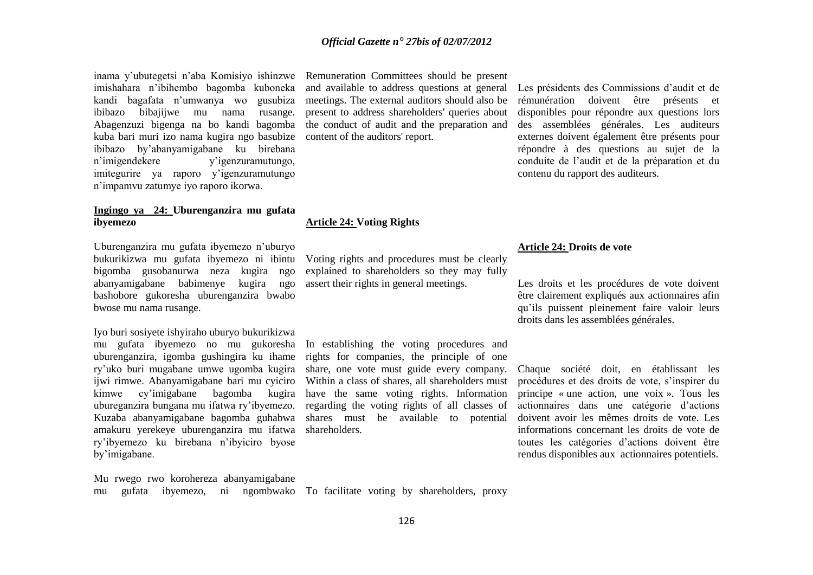inama y"ubutegetsi n"aba Komisiyo ishinzwe Remuneration Committees should be present imishahara n"ibihembo bagomba kuboneka kandi bagafata n"umwanya wo gusubiza ibibazo bibajijwe mu nama rusange. Abagenzuzi bigenga na bo kandi bagomba kuba bari muri izo nama kugira ngo basubize content of the auditors' report. ibibazo by"abanyamigabane ku birebana v'igenzuramutungo, imitegurire ya raporo y"igenzuramutungo n"impamvu zatumye iyo raporo ikorwa.

# **Ingingo ya 24: Uburenganzira mu gufata ibyemezo**

Uburenganzira mu gufata ibyemezo n"uburyo bukurikizwa mu gufata ibyemezo ni ibintu bigomba gusobanurwa neza kugira ngo abanyamigabane babimenye kugira ngo bashobore gukoresha uburenganzira bwabo bwose mu nama rusange.

#### Iyo buri sosiyete ishyiraho uburyo bukurikizwa

mu gufata ibyemezo no mu gukoresha In establishing the voting procedures and kimwe cy"imigabane bagomba kugira amakuru yerekeye uburenganzira mu ifatwa shareholders. ry"ibyemezo ku birebana n"ibyiciro byose by"imigabane.

and available to address questions at general meetings. The external auditors should also be present to address shareholders' queries about the conduct of audit and the preparation and

**Article 24: Voting Rights**

Voting rights and procedures must be clearly explained to shareholders so they may fully assert their rights in general meetings.

uburenganzira, igomba gushingira ku ihame rights for companies, the principle of one ry"uko buri mugabane umwe ugomba kugira share, one vote must guide every company. ijwi rimwe. Abanyamigabane bari mu cyiciro Within a class of shares, all shareholders must ubureganzira bungana mu ifatwa ry"ibyemezo. regarding the voting rights of all classes of Kuzaba abanyamigabane bagomba guhabwa shares must be available to potential have the same voting rights. Information

Les présidents des Commissions d"audit et de rémunération doivent être présents et disponibles pour répondre aux questions lors des assemblées générales. Les auditeurs externes doivent également être présents pour répondre à des questions au sujet de la conduite de l"audit et de la préparation et du contenu du rapport des auditeurs.

#### **Article 24: Droits de vote**

Les droits et les procédures de vote doivent être clairement expliqués aux actionnaires afin qu"ils puissent pleinement faire valoir leurs droits dans les assemblées générales.

Chaque société doit, en établissant les procédures et des droits de vote, s"inspirer du principe « une action, une voix ». Tous les actionnaires dans une catégorie d"actions doivent avoir les mêmes droits de vote. Les informations concernant les droits de vote de toutes les catégories d"actions doivent être rendus disponibles aux actionnaires potentiels.

Mu rwego rwo korohereza abanyamigabane mu gufata ibyemezo, ni ngombwako To facilitate voting by shareholders, proxy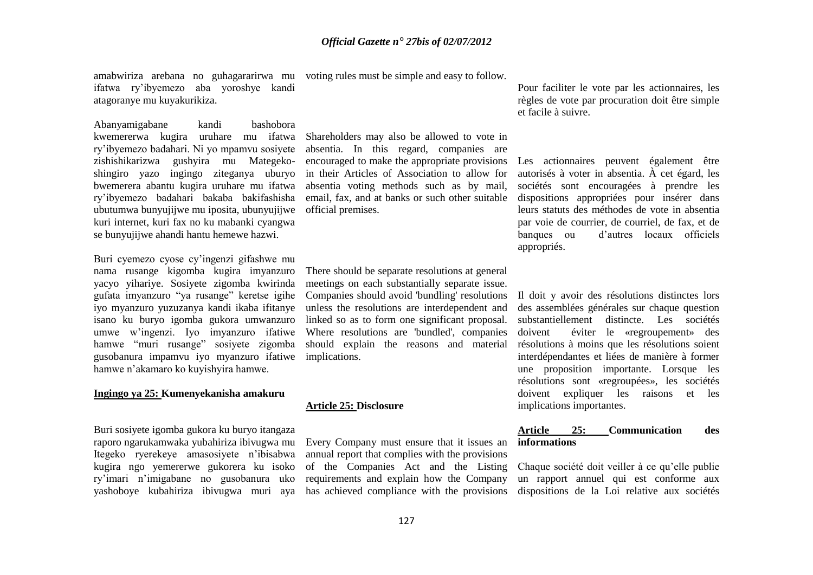ifatwa ry"ibyemezo aba yoroshye kandi atagoranye mu kuyakurikiza.

Abanyamigabane kandi bashobora ry"ibyemezo badahari. Ni yo mpamvu sosiyete zishishikarizwa gushyira mu Mategekoshingiro yazo ingingo ziteganya uburyo bwemerera abantu kugira uruhare mu ifatwa ry"ibyemezo badahari bakaba bakifashisha ubutumwa bunyujijwe mu iposita, ubunyujijwe kuri internet, kuri fax no ku mabanki cyangwa se bunyujijwe ahandi hantu hemewe hazwi.

Buri cyemezo cyose cy"ingenzi gifashwe mu nama rusange kigomba kugira imyanzuro yacyo yihariye. Sosiyete zigomba kwirinda gufata imyanzuro "ya rusange" keretse igihe iyo myanzuro yuzuzanya kandi ikaba ifitanye isano ku buryo igomba gukora umwanzuro umwe w"ingenzi. Iyo imyanzuro ifatiwe hamwe "muri rusange" sosiyete zigomba gusobanura impamvu iyo myanzuro ifatiwe hamwe n"akamaro ko kuyishyira hamwe.

#### **Ingingo ya 25: Kumenyekanisha amakuru**

Buri sosiyete igomba gukora ku buryo itangaza raporo ngarukamwaka yubahiriza ibivugwa mu Itegeko ryerekeye amasosiyete n"ibisabwa kugira ngo yemererwe gukorera ku isoko ry"imari n"imigabane no gusobanura uko yashoboye kubahiriza ibivugwa muri aya has achieved compliance with the provisions

amabwiriza arebana no guhagararirwa mu voting rules must be simple and easy to follow.

kwemererwa kugira uruhare mu ifatwa Shareholders may also be allowed to vote in absentia. In this regard, companies are encouraged to make the appropriate provisions in their Articles of Association to allow for absentia voting methods such as by mail, email, fax, and at banks or such other suitable official premises.

> There should be separate resolutions at general meetings on each substantially separate issue. Companies should avoid 'bundling' resolutions unless the resolutions are interdependent and linked so as to form one significant proposal. Where resolutions are 'bundled', companies should explain the reasons and material implications.

#### **Article 25: Disclosure**

Every Company must ensure that it issues an annual report that complies with the provisions of the Companies Act and the Listing requirements and explain how the Company

Pour faciliter le vote par les actionnaires, les règles de vote par procuration doit être simple et facile à suivre.

Les actionnaires peuvent également être autorisés à voter in absentia. À cet égard, les sociétés sont encouragées à prendre les dispositions appropriées pour insérer dans leurs statuts des méthodes de vote in absentia par voie de courrier, de courriel, de fax, et de banques ou d"autres locaux officiels appropriés.

Il doit y avoir des résolutions distinctes lors des assemblées générales sur chaque question substantiellement distincte. Les sociétés doivent éviter le «regroupement» des résolutions à moins que les résolutions soient interdépendantes et liées de manière à former une proposition importante. Lorsque les résolutions sont «regroupées», les sociétés doivent expliquer les raisons et les implications importantes.

#### **Article 25: Communication des informations**

Chaque société doit veiller à ce qu"elle publie un rapport annuel qui est conforme aux dispositions de la Loi relative aux sociétés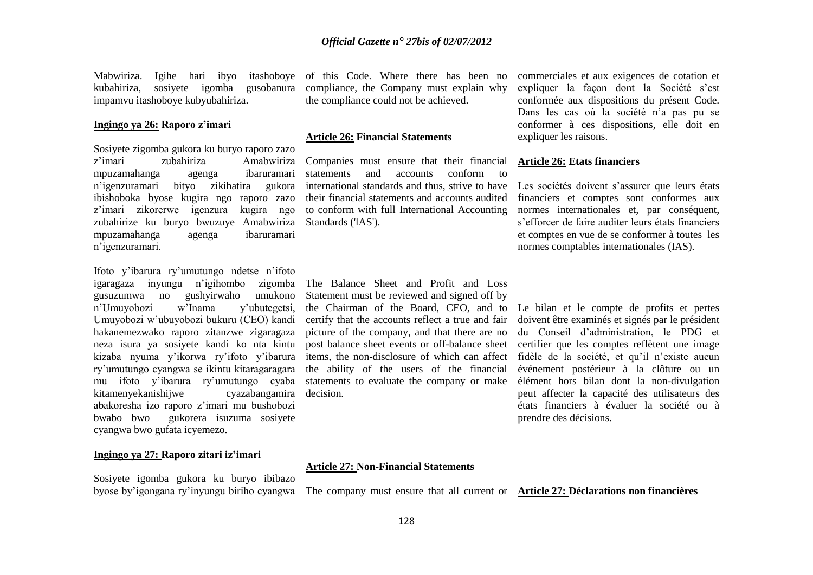Mabwiriza. Igihe hari ibyo itashoboye of this Code. Where there has been no kubahiriza, sosiyete igomba gusobanura compliance, the Company must explain why impamvu itashoboye kubyubahiriza.

#### **Ingingo ya 26: Raporo z'imari**

Sosiyete zigomba gukora ku buryo raporo zazo z"imari zubahiriza Amabwiriza mpuzamahanga agenga ibaruramari n"igenzuramari bityo zikihatira gukora ibishoboka byose kugira ngo raporo zazo z'imari zikorerwe igenzura kugira ngo zubahirize ku buryo bwuzuye Amabwiriza Standards ('lAS'). mpuzamahanga agenga ibaruramari n"igenzuramari.

Ifoto y"ibarura ry"umutungo ndetse n"ifoto igaragaza inyungu n"igihombo zigomba The Balance Sheet and Profit and Loss gusuzumwa no gushyirwaho umukono n"Umuyobozi w"Inama y"ubutegetsi, Umuyobozi w"ubuyobozi bukuru (CEO) kandi hakanemezwako raporo zitanzwe zigaragaza neza isura ya sosiyete kandi ko nta kintu kizaba nyuma y"ikorwa ry"ifoto y"ibarura ry"umutungo cyangwa se ikintu kitaragaragara mu ifoto y"ibarura ry"umutungo cyaba statements to evaluate the company or make kitamenyekanishijwe abakoresha izo raporo z'imari mu bushobozi<br>bwabo bwo gukorera isuzuma sosivete gukorera isuzuma sosiyete cyangwa bwo gufata icyemezo. cyazabangamira decision.

# **Ingingo ya 27: Raporo zitari iz'imari**

Sosiyete igomba gukora ku buryo ibibazo byose by"igongana ry"inyungu biriho cyangwa The company must ensure that all current or **Article 27: Déclarations non financières**

the compliance could not be achieved.

#### **Article 26: Financial Statements**

Companies must ensure that their financial statements and accounts conform to international standards and thus, strive to have their financial statements and accounts audited to conform with full International Accounting

Statement must be reviewed and signed off by the Chairman of the Board, CEO, and to certify that the accounts reflect a true and fair picture of the company, and that there are no post balance sheet events or off-balance sheet

items, the non-disclosure of which can affect the ability of the users of the financial

commerciales et aux exigences de cotation et expliquer la façon dont la Société s"est conformée aux dispositions du présent Code. Dans les cas où la société n'a pas pu se conformer à ces dispositions, elle doit en expliquer les raisons.

#### **Article 26: Etats financiers**

Les sociétés doivent s'assurer que leurs états financiers et comptes sont conformes aux normes internationales et, par conséquent, s"efforcer de faire auditer leurs états financiers et comptes en vue de se conformer à toutes les normes comptables internationales (IAS).

Le bilan et le compte de profits et pertes doivent être examinés et signés par le président du Conseil d"administration, le PDG et certifier que les comptes reflètent une image fidèle de la société, et qu"il n"existe aucun événement postérieur à la clôture ou un élément hors bilan dont la non-divulgation peut affecter la capacité des utilisateurs des états financiers à évaluer la société ou à prendre des décisions.

#### **Article 27: Non-Financial Statements**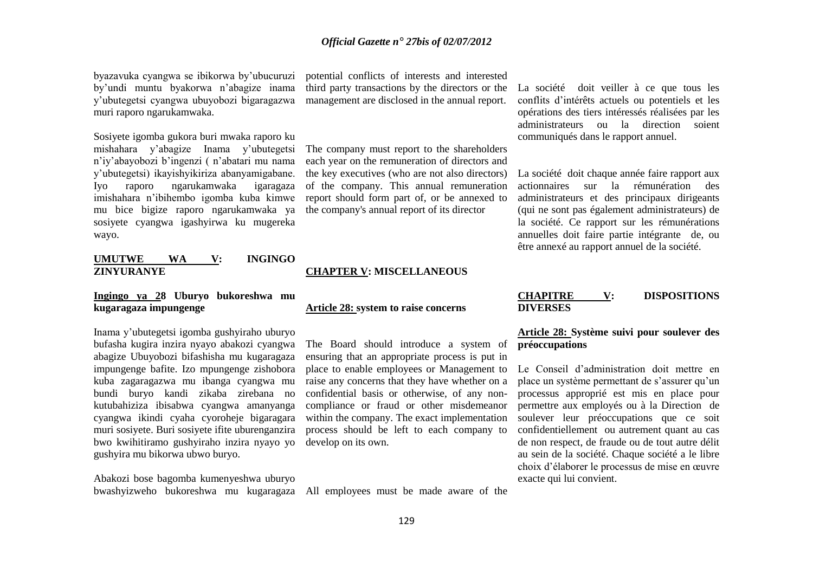byazavuka cyangwa se ibikorwa by"ubucuruzi by"undi muntu byakorwa n"abagize inama y"ubutegetsi cyangwa ubuyobozi bigaragazwa muri raporo ngarukamwaka.

Sosiyete igomba gukora buri mwaka raporo ku mishahara y"abagize Inama y"ubutegetsi n"iy"abayobozi b"ingenzi ( n"abatari mu nama y"ubutegetsi) ikayishyikiriza abanyamigabane. Iyo raporo ngarukamwaka igaragaza imishahara n"ibihembo igomba kuba kimwe mu bice bigize raporo ngarukamwaka ya sosiyete cyangwa igashyirwa ku mugereka wayo.

# **UMUTWE WA V: INGINGO ZINYURANYE**

## **Ingingo ya 28 Uburyo bukoreshwa mu kugaragaza impungenge**

Inama y"ubutegetsi igomba gushyiraho uburyo bufasha kugira inzira nyayo abakozi cyangwa abagize Ubuyobozi bifashisha mu kugaragaza impungenge bafite. Izo mpungenge zishobora kuba zagaragazwa mu ibanga cyangwa mu bundi buryo kandi zikaba zirebana no kutubahiziza ibisabwa cyangwa amanyanga cyangwa ikindi cyaha cyoroheje bigaragara muri sosiyete. Buri sosiyete ifite uburenganzira bwo kwihitiramo gushyiraho inzira nyayo yo gushyira mu bikorwa ubwo buryo.

Abakozi bose bagomba kumenyeshwa uburyo bwashyizweho bukoreshwa mu kugaragaza All employees must be made aware of the

potential conflicts of interests and interested third party transactions by the directors or the management are disclosed in the annual report.

The company must report to the shareholders each year on the remuneration of directors and the key executives (who are not also directors) of the company. This annual remuneration report should form part of, or be annexed to the company's annual report of its director

# **CHAPTER V: MISCELLANEOUS**

#### **Article 28: system to raise concerns**

The Board should introduce a system of ensuring that an appropriate process is put in place to enable employees or Management to raise any concerns that they have whether on a confidential basis or otherwise, of any noncompliance or fraud or other misdemeanor within the company. The exact implementation process should be left to each company to develop on its own.

La société doit veiller à ce que tous les conflits d"intérêts actuels ou potentiels et les opérations des tiers intéressés réalisées par les administrateurs ou la direction soient communiqués dans le rapport annuel.

La société doit chaque année faire rapport aux actionnaires sur la rémunération des administrateurs et des principaux dirigeants (qui ne sont pas également administrateurs) de la société. Ce rapport sur les rémunérations annuelles doit faire partie intégrante de, ou être annexé au rapport annuel de la société.

# **CHAPITRE V: DISPOSITIONS DIVERSES**

### **Article 28: Système suivi pour soulever des préoccupations**

Le Conseil d"administration doit mettre en place un système permettant de s"assurer qu"un processus approprié est mis en place pour permettre aux employés ou à la Direction de soulever leur préoccupations que ce soit confidentiellement ou autrement quant au cas de non respect, de fraude ou de tout autre délit au sein de la société. Chaque société a le libre choix d"élaborer le processus de mise en œuvre exacte qui lui convient.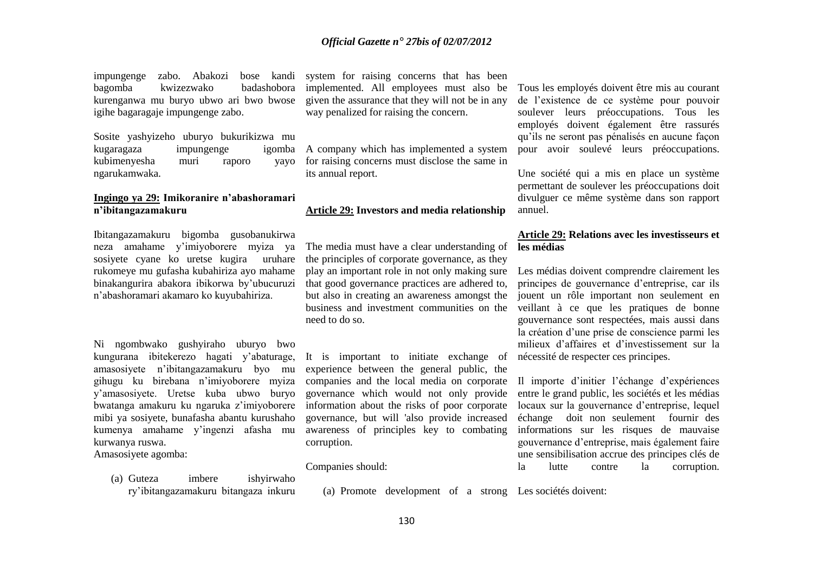impungenge zabo. Abakozi bose kandi bagomba kwizezwako badashobora kurenganwa mu buryo ubwo ari bwo bwose igihe bagaragaje impungenge zabo.

Sosite yashyizeho uburyo bukurikizwa mu kugaragaza impungenge igomba kubimenyesha muri raporo yayo ngarukamwaka.

#### **Ingingo ya 29: Imikoranire n'abashoramari n'ibitangazamakuru**

Ibitangazamakuru bigomba gusobanukirwa neza amahame y"imiyoborere myiza ya sosiyete cyane ko uretse kugira uruhare rukomeye mu gufasha kubahiriza ayo mahame binakangurira abakora ibikorwa by"ubucuruzi n"abashoramari akamaro ko kuyubahiriza.

Ni ngombwako gushyiraho uburyo bwo kungurana ibitekerezo hagati y"abaturage, amasosiyete n"ibitangazamakuru byo mu gihugu ku birebana n"imiyoborere myiza y"amasosiyete. Uretse kuba ubwo buryo bwatanga amakuru ku ngaruka z"imiyoborere mibi ya sosiyete, bunafasha abantu kurushaho kumenya amahame y"ingenzi afasha mu kurwanya ruswa. Amasosiyete agomba:

(a) Guteza imbere ishyirwaho ry"ibitangazamakuru bitangaza inkuru

system for raising concerns that has been implemented. All employees must also be given the assurance that they will not be in any way penalized for raising the concern.

A company which has implemented a system for raising concerns must disclose the same in its annual report.

#### **Article 29: Investors and media relationship**

The media must have a clear understanding of the principles of corporate governance, as they play an important role in not only making sure that good governance practices are adhered to, but also in creating an awareness amongst the business and investment communities on the need to do so.

It is important to initiate exchange of experience between the general public, the companies and the local media on corporate governance which would not only provide information about the risks of poor corporate governance, but will 'also provide increased awareness of principles key to combating corruption.

#### Companies should:

(a) Promote development of a strong Les sociétés doivent:

Tous les employés doivent être mis au courant de l"existence de ce système pour pouvoir soulever leurs préoccupations. Tous les employés doivent également être rassurés qu"ils ne seront pas pénalisés en aucune façon pour avoir soulevé leurs préoccupations.

Une société qui a mis en place un système permettant de soulever les préoccupations doit divulguer ce même système dans son rapport annuel.

#### **Article 29: Relations avec les investisseurs et les médias**

Les médias doivent comprendre clairement les principes de gouvernance d"entreprise, car ils jouent un rôle important non seulement en veillant à ce que les pratiques de bonne gouvernance sont respectées, mais aussi dans la création d"une prise de conscience parmi les milieux d"affaires et d"investissement sur la nécessité de respecter ces principes.

Il importe d"initier l"échange d"expériences entre le grand public, les sociétés et les médias locaux sur la gouvernance d"entreprise, lequel échange doit non seulement fournir des informations sur les risques de mauvaise gouvernance d"entreprise, mais également faire une sensibilisation accrue des principes clés de la lutte contre la corruption.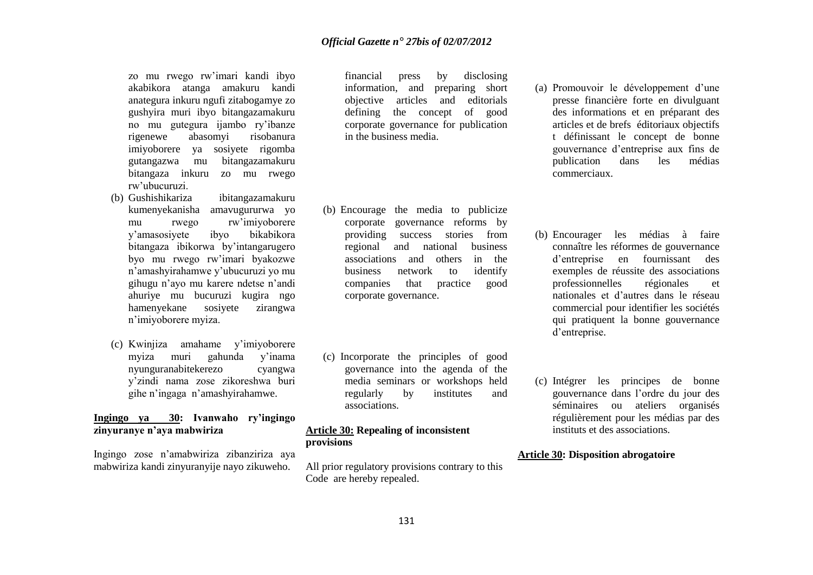zo mu rwego rw"imari kandi ibyo akabikora atanga amakuru kandi anategura inkuru ngufi zitabogamye zo gushyira muri ibyo bitangazamakuru no mu gutegura ijambo ry"ibanze rigenewe abasomyi risobanura imiyoborere ya sosiyete rigomba gutangazwa mu bitangazamakuru bitangaza inkuru zo mu rwego rw"ubucuruzi.

- (b) Gushishikariza ibitangazamakuru kumenyekanisha amavugururwa yo mu rwego rw'imiyoborere<br>v'amasosiyete ibyo bikabikora y'amasosiyete ibyo bitangaza ibikorwa by"intangarugero byo mu rwego rw"imari byakozwe n"amashyirahamwe y"ubucuruzi yo mu gihugu n"ayo mu karere ndetse n"andi ahuriye mu bucuruzi kugira ngo hamenyekane sosiyete zirangwa n"imiyoborere myiza.
- (c) Kwinjiza amahame y"imiyoborere myiza muri gahunda y"inama nyunguranabitekerezo cyangwa y"zindi nama zose zikoreshwa buri gihe n"ingaga n"amashyirahamwe.

## **Ingingo ya 30: Ivanwaho ry'ingingo zinyuranye n'aya mabwiriza**

Ingingo zose n"amabwiriza zibanziriza aya mabwiriza kandi zinyuranyije nayo zikuweho.

financial press by disclosing information, and preparing short objective articles and editorials defining the concept of good corporate governance for publication in the business media.

- (b) Encourage the media to publicize corporate governance reforms by providing success stories from regional and national business associations and others in the business network to identify companies that practice good corporate governance.
- (c) Incorporate the principles of good governance into the agenda of the media seminars or workshops held regularly by institutes and associations.

## **Article 30: Repealing of inconsistent provisions**

All prior regulatory provisions contrary to this Code are hereby repealed.

- (a) Promouvoir le développement d"une presse financière forte en divulguant des informations et en préparant des articles et de brefs éditoriaux objectifs t définissant le concept de bonne gouvernance d"entreprise aux fins de publication dans les médias commerciaux.
- (b) Encourager les médias à faire connaître les réformes de gouvernance d"entreprise en fournissant des exemples de réussite des associations professionnelles régionales et nationales et d"autres dans le réseau commercial pour identifier les sociétés qui pratiquent la bonne gouvernance d"entreprise.
- (c) Intégrer les principes de bonne gouvernance dans l"ordre du jour des séminaires ou ateliers organisés régulièrement pour les médias par des instituts et des associations.

#### **Article 30: Disposition abrogatoire**